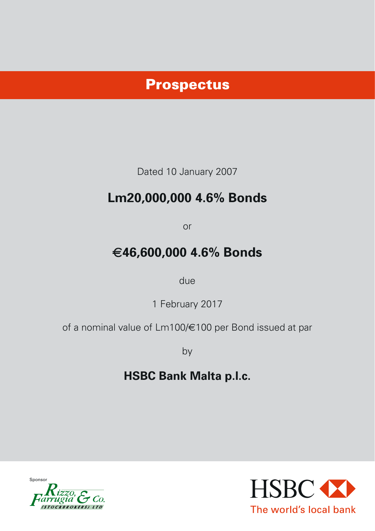# Prospectus

Dated 10 January 2007

# **Lm20,000,000 4.6% Bonds**

or

# €**46,600,000 4.6% Bonds**

due

1 February 2017

of a nominal value of Lm100/€100 per Bond issued at par

by

# **HSBC Bank Malta p.l.c.**



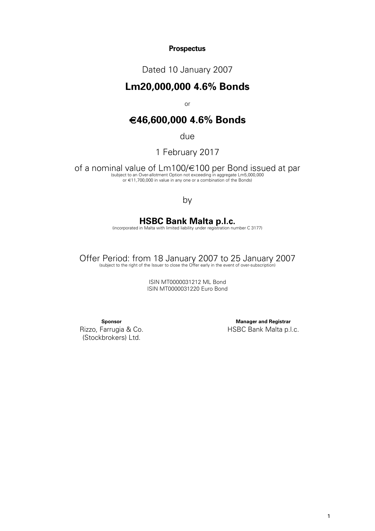## **Prospectus**

Dated 10 January 2007

## **Lm20,000,000 4.6% Bonds**

or

## €**46,600,000 4.6% Bonds**

due

1 February 2017

of a nominal value of Lm100/€100 per Bond issued at par bord issued at part of the subject to an Over-allotment Option not exceeding in aggregate Lm5,000,000 or €11,700,000 in value in any one or a combination of the Bonds)

## by

# **HSBC Bank Malta p.l.c.**<br>(incorporated in Malta with limited liability under registration number C 3177)

Offer Period: from 18 January 2007 to 25 January 2007 (subject to the right of the Issuer to close the Offer early in the event of over-subscription)

ISIN MT0000031212 ML Bond ISIN MT0000031220 Euro Bond

**Sponsor**

Rizzo, Farrugia & Co. (Stockbrokers) Ltd.

**Manager and Registrar** HSBC Bank Malta p.l.c.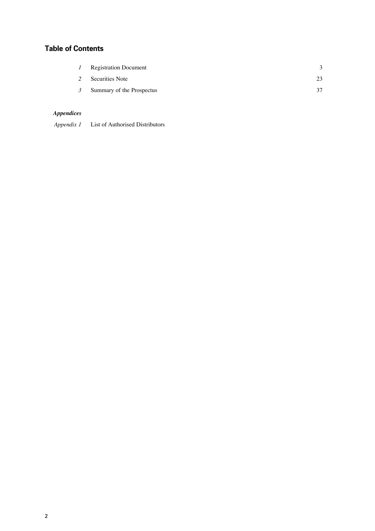## **Table of Contents**

|               | <b>Registration Document</b> |    |
|---------------|------------------------------|----|
|               | Securities Note              | 23 |
| $\mathcal{I}$ | Summary of the Prospectus    | 37 |

## *Appendices*

 *Appendix 1*  List of Authorised Distributors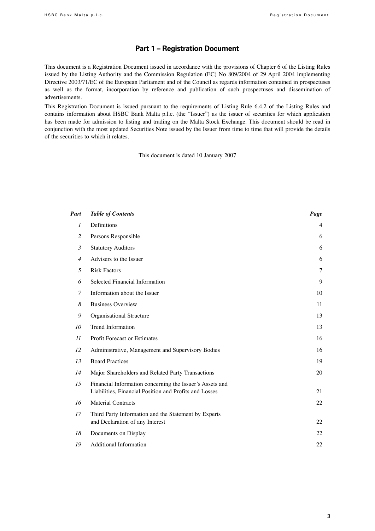## **Part 1 – Registration Document**

This document is a Registration Document issued in accordance with the provisions of Chapter 6 of the Listing Rules issued by the Listing Authority and the Commission Regulation (EC) No 809/2004 of 29 April 2004 implementing Directive 2003/71/EC of the European Parliament and of the Council as regards information contained in prospectuses as well as the format, incorporation by reference and publication of such prospectuses and dissemination of advertisements.

This Registration Document is issued pursuant to the requirements of Listing Rule 6.4.2 of the Listing Rules and contains information about HSBC Bank Malta p.l.c. (the "Issuer") as the issuer of securities for which application has been made for admission to listing and trading on the Malta Stock Exchange. This document should be read in conjunction with the most updated Securities Note issued by the Issuer from time to time that will provide the details of the securities to which it relates.

This document is dated 10 January 2007

| Part           | <b>Table of Contents</b>                                                                                           | Page           |
|----------------|--------------------------------------------------------------------------------------------------------------------|----------------|
| 1              | Definitions                                                                                                        | $\overline{4}$ |
| 2              | Persons Responsible                                                                                                | 6              |
| $\mathfrak{Z}$ | <b>Statutory Auditors</b>                                                                                          | 6              |
| $\overline{4}$ | Advisers to the Issuer                                                                                             | 6              |
| 5              | <b>Risk Factors</b>                                                                                                | $\tau$         |
| 6              | Selected Financial Information                                                                                     | 9              |
| 7              | Information about the Issuer                                                                                       | 10             |
| 8              | <b>Business Overview</b>                                                                                           | 11             |
| 9              | Organisational Structure                                                                                           | 13             |
| 10             | Trend Information                                                                                                  | 13             |
| 11             | <b>Profit Forecast or Estimates</b>                                                                                | 16             |
| 12             | Administrative, Management and Supervisory Bodies                                                                  | 16             |
| 13             | <b>Board Practices</b>                                                                                             | 19             |
| 14             | Major Shareholders and Related Party Transactions                                                                  | 20             |
| 15             | Financial Information concerning the Issuer's Assets and<br>Liabilities, Financial Position and Profits and Losses | 21             |
| 16             | <b>Material Contracts</b>                                                                                          | 22             |
| 17             | Third Party Information and the Statement by Experts<br>and Declaration of any Interest                            | 22             |
| 18             | Documents on Display                                                                                               | 22             |
| 19             | <b>Additional Information</b>                                                                                      | 22             |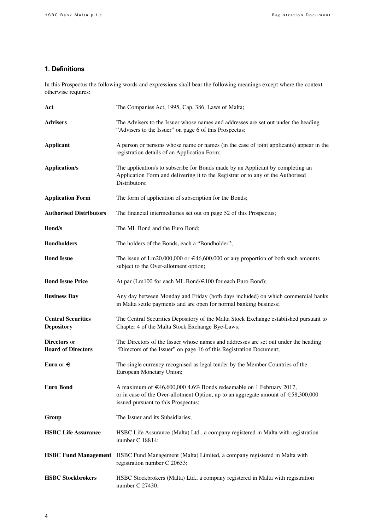## **1. Definitions**

In this Prospectus the following words and expressions shall bear the following meanings except where the context otherwise requires:

| Act                                              | The Companies Act, 1995, Cap. 386, Laws of Malta;                                                                                                                                                        |
|--------------------------------------------------|----------------------------------------------------------------------------------------------------------------------------------------------------------------------------------------------------------|
| <b>Advisers</b>                                  | The Advisers to the Issuer whose names and addresses are set out under the heading<br>"Advisers to the Issuer" on page 6 of this Prospectus;                                                             |
| <b>Applicant</b>                                 | A person or persons whose name or names (in the case of joint applicants) appear in the<br>registration details of an Application Form;                                                                  |
| <b>Application/s</b>                             | The application/s to subscribe for Bonds made by an Applicant by completing an<br>Application Form and delivering it to the Registrar or to any of the Authorised<br>Distributors;                       |
| <b>Application Form</b>                          | The form of application of subscription for the Bonds;                                                                                                                                                   |
| <b>Authorised Distributors</b>                   | The financial intermediaries set out on page 52 of this Prospectus;                                                                                                                                      |
| <b>Bond/s</b>                                    | The ML Bond and the Euro Bond;                                                                                                                                                                           |
| <b>Bondholders</b>                               | The holders of the Bonds, each a "Bondholder";                                                                                                                                                           |
| <b>Bond Issue</b>                                | The issue of Lm20,000,000 or $\in 46,600,000$ or any proportion of both such amounts<br>subject to the Over-allotment option;                                                                            |
| <b>Bond Issue Price</b>                          | At par (Lm100 for each ML Bond/€100 for each Euro Bond);                                                                                                                                                 |
| <b>Business Day</b>                              | Any day between Monday and Friday (both days included) on which commercial banks<br>in Malta settle payments and are open for normal banking business;                                                   |
| <b>Central Securities</b><br><b>Depository</b>   | The Central Securities Depository of the Malta Stock Exchange established pursuant to<br>Chapter 4 of the Malta Stock Exchange Bye-Laws;                                                                 |
| <b>Directors</b> or<br><b>Board of Directors</b> | The Directors of the Issuer whose names and addresses are set out under the heading<br>"Directors of the Issuer" on page 16 of this Registration Document;                                               |
| Euro or $\epsilon$                               | The single currency recognised as legal tender by the Member Countries of the<br>European Monetary Union;                                                                                                |
| Euro Bond                                        | A maximum of €46,600,000 4.6% Bonds redeemable on 1 February 2017,<br>or in case of the Over-allotment Option, up to an aggregate amount of $\epsilon$ 58,300,000<br>issued pursuant to this Prospectus; |
| Group                                            | The Issuer and its Subsidiaries;                                                                                                                                                                         |
| <b>HSBC Life Assurance</b>                       | HSBC Life Assurance (Malta) Ltd., a company registered in Malta with registration<br>number C 18814;                                                                                                     |
|                                                  | HSBC Fund Management HSBC Fund Management (Malta) Limited, a company registered in Malta with<br>registration number C 20653;                                                                            |
| <b>HSBC Stockbrokers</b>                         | HSBC Stockbrokers (Malta) Ltd., a company registered in Malta with registration<br>number C 27430;                                                                                                       |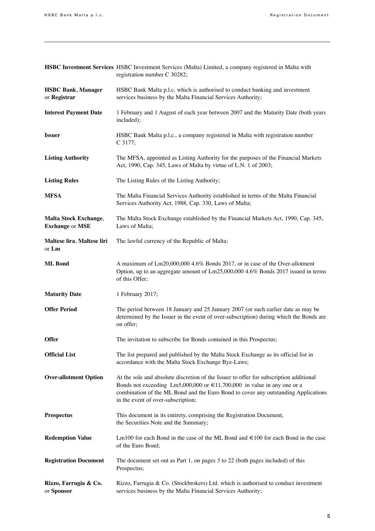|                                                 | HSBC Investment Services HSBC Investment Services (Malta) Limited, a company registered in Malta with<br>registration number C 30282;                                                                                                                                                              |
|-------------------------------------------------|----------------------------------------------------------------------------------------------------------------------------------------------------------------------------------------------------------------------------------------------------------------------------------------------------|
| <b>HSBC Bank, Manager</b><br>or Registrar       | HSBC Bank Malta p.l.c. which is authorised to conduct banking and investment<br>services business by the Malta Financial Services Authority;                                                                                                                                                       |
| <b>Interest Payment Date</b>                    | 1 February and 1 August of each year between 2007 and the Maturity Date (both years<br>included);                                                                                                                                                                                                  |
| <b>Issuer</b>                                   | HSBC Bank Malta p.l.c., a company registered in Malta with registration number<br>C 3177;                                                                                                                                                                                                          |
| <b>Listing Authority</b>                        | The MFSA, appointed as Listing Authority for the purposes of the Financial Markets<br>Act, 1990, Cap. 345, Laws of Malta by virtue of L.N. 1 of 2003;                                                                                                                                              |
| <b>Listing Rules</b>                            | The Listing Rules of the Listing Authority;                                                                                                                                                                                                                                                        |
| <b>MFSA</b>                                     | The Malta Financial Services Authority established in terms of the Malta Financial<br>Services Authority Act, 1988, Cap. 330, Laws of Malta;                                                                                                                                                       |
| Malta Stock Exchange,<br><b>Exchange or MSE</b> | The Malta Stock Exchange established by the Financial Markets Act, 1990, Cap. 345,<br>Laws of Malta;                                                                                                                                                                                               |
| Maltese lira, Maltese liri<br>or Lm             | The lawful currency of the Republic of Malta;                                                                                                                                                                                                                                                      |
| <b>ML</b> Bond                                  | A maximum of Lm20,000,000 4.6% Bonds 2017, or in case of the Over-allotment<br>Option, up to an aggregate amount of Lm25,000,000 4.6% Bonds 2017 issued in terms<br>of this Offer;                                                                                                                 |
| <b>Maturity Date</b>                            | 1 February 2017;                                                                                                                                                                                                                                                                                   |
| <b>Offer Period</b>                             | The period between 18 January and 25 January 2007 (or such earlier date as may be<br>determined by the Issuer in the event of over-subscription) during which the Bonds are<br>on offer;                                                                                                           |
| <b>Offer</b>                                    | The invitation to subscribe for Bonds contained in this Prospectus;                                                                                                                                                                                                                                |
| <b>Official List</b>                            | The list prepared and published by the Malta Stock Exchange as its official list in<br>accordance with the Malta Stock Exchange Bye-Laws;                                                                                                                                                          |
| <b>Over-allotment Option</b>                    | At the sole and absolute discretion of the Issuer to offer for subscription additional<br>Bonds not exceeding Lm5,000,000 or $\in$ 11,700,000 in value in any one or a<br>combination of the ML Bond and the Euro Bond to cover any outstanding Applications<br>in the event of over-subscription; |
| <b>Prospectus</b>                               | This document in its entirety, comprising the Registration Document,<br>the Securities Note and the Summary;                                                                                                                                                                                       |
| <b>Redemption Value</b>                         | Lm100 for each Bond in the case of the ML Bond and $\in$ 100 for each Bond in the case<br>of the Euro Bond;                                                                                                                                                                                        |
| <b>Registration Document</b>                    | The document set out as Part 1, on pages 3 to 22 (both pages included) of this<br>Prospectus;                                                                                                                                                                                                      |
| Rizzo, Farrugia & Co.<br>or Sponsor             | Rizzo, Farrugia & Co. (Stockbrokers) Ltd. which is authorised to conduct investment<br>services business by the Malta Financial Services Authority;                                                                                                                                                |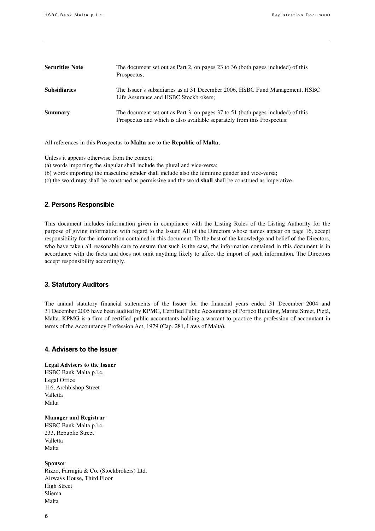| <b>Securities Note</b> | The document set out as Part 2, on pages 23 to 36 (both pages included) of this<br>Prospectus;                                                             |
|------------------------|------------------------------------------------------------------------------------------------------------------------------------------------------------|
| <b>Subsidiaries</b>    | The Issuer's subsidiaries as at 31 December 2006, HSBC Fund Management, HSBC<br>Life Assurance and HSBC Stockbrokers;                                      |
| <b>Summary</b>         | The document set out as Part 3, on pages 37 to 51 (both pages included) of this<br>Prospectus and which is also available separately from this Prospectus; |

All references in this Prospectus to **Malta** are to the **Republic of Malta**;

Unless it appears otherwise from the context:

- (a) words importing the singular shall include the plural and vice-versa;
- (b) words importing the masculine gender shall include also the feminine gender and vice-versa;
- (c) the word **may** shall be construed as permissive and the word **shall** shall be construed as imperative.

### **2. Persons Responsible**

This document includes information given in compliance with the Listing Rules of the Listing Authority for the purpose of giving information with regard to the Issuer. All of the Directors whose names appear on page 16, accept responsibility for the information contained in this document. To the best of the knowledge and belief of the Directors, who have taken all reasonable care to ensure that such is the case, the information contained in this document is in accordance with the facts and does not omit anything likely to affect the import of such information. The Directors accept responsibility accordingly.

#### **3. Statutory Auditors**

The annual statutory financial statements of the Issuer for the financial years ended 31 December 2004 and 31 December 2005 have been audited by KPMG, Certified Public Accountants of Portico Building, Marina Street, Pietà, Malta. KPMG is a firm of certified public accountants holding a warrant to practice the profession of accountant in terms of the Accountancy Profession Act, 1979 (Cap. 281, Laws of Malta).

### **4. Advisers to the Issuer**

#### **Legal Advisers to the Issuer**

HSBC Bank Malta p.l.c. Legal Office 116, Archbishop Street Valletta Malta 

**Manager and Registrar**

HSBC Bank Malta p.l.c. 233, Republic Street Valletta Malta 

#### **Sponsor**

Rizzo, Farrugia & Co. (Stockbrokers) Ltd. Airways House, Third Floor High Street Sliema Malta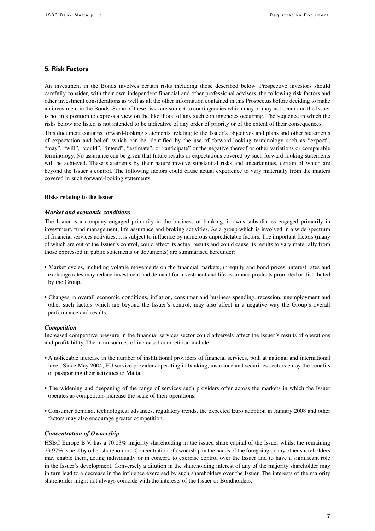#### **5. Risk Factors**

An investment in the Bonds involves certain risks including those described below. Prospective investors should carefully consider, with their own independent financial and other professional advisers, the following risk factors and other investment considerations as well as all the other information contained in this Prospectus before deciding to make an investment in the Bonds. Some of these risks are subject to contingencies which may or may not occur and the Issuer is not in a position to express a view on the likelihood of any such contingencies occurring. The sequence in which the risks below are listed is not intended to be indicative of any order of priority or of the extent of their consequences.

This document contains forward-looking statements, relating to the Issuer's objectives and plans and other statements of expectation and belief, which can be identified by the use of forward-looking terminology such as "expect", "may", "will", "could", "intend", "estimate", or "anticipate" or the negative thereof or other variations or comparable terminology. No assurance can be given that future results or expectations covered by such forward-looking statements will be achieved. These statements by their nature involve substantial risks and uncertainties, certain of which are beyond the Issuer's control. The following factors could cause actual experience to vary materially from the matters covered in such forward-looking statements.

#### **Risks relating to the Issuer**

#### *Market and economic conditions*

The Issuer is a company engaged primarily in the business of banking, it owns subsidiaries engaged primarily in investment, fund management, life assurance and broking activities. As a group which is involved in a wide spectrum of financial services activities, it is subject to influence by numerous unpredictable factors. The important factors (many of which are out of the Issuer's control, could affect its actual results and could cause its results to vary materially from those expressed in public statements or documents) are summarised hereunder:

- Market cycles, including volatile movements on the financial markets, in equity and bond prices, interest rates and exchange rates may reduce investment and demand for investment and life assurance products promoted or distributed by the Group.
- Changes in overall economic conditions, inflation, consumer and business spending, recession, unemployment and other such factors which are beyond the Issuer's control, may also affect in a negative way the Group's overall performance and results.

#### *Competition*

Increased competitive pressure in the financial services sector could adversely affect the Issuer's results of operations and profitability. The main sources of increased competition include:

- A noticeable increase in the number of institutional providers of financial services, both at national and international level. Since May 2004, EU service providers operating in banking, insurance and securities sectors enjoy the benefits of passporting their activities to Malta.
- The widening and deepening of the range of services such providers offer across the markets in which the Issuer operates as competitors increase the scale of their operations.
- Consumer demand, technological advances, regulatory trends, the expected Euro adoption in January 2008 and other factors may also encourage greater competition.

#### *Concentration of Ownership*

HSBC Europe B.V. has a 70.03% majority shareholding in the issued share capital of the Issuer whilst the remaining 29.97% is held by other shareholders. Concentration of ownership in the hands of the foregoing or any other shareholders may enable them, acting individually or in concert, to exercise control over the Issuer and to have a significant role in the Issuer's development. Conversely a dilution in the shareholding interest of any of the majority shareholder may in turn lead to a decrease in the influence exercised by such shareholders over the Issuer. The interests of the majority shareholder might not always coincide with the interests of the Issuer or Bondholders.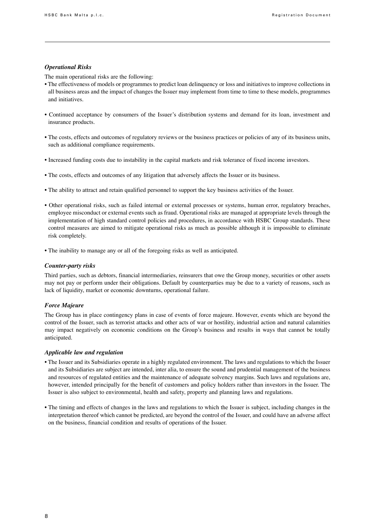### *Operational Risks*

The main operational risks are the following:

- The effectiveness of models or programmes to predict loan delinquency or loss and initiatives to improve collections in all business areas and the impact of changes the Issuer may implement from time to time to these models, programmes and initiatives.
- Continued acceptance by consumers of the Issuer's distribution systems and demand for its loan, investment and insurance products.
- The costs, effects and outcomes of regulatory reviews or the business practices or policies of any of its business units, such as additional compliance requirements.
- Increased funding costs due to instability in the capital markets and risk tolerance of fixed income investors.
- The costs, effects and outcomes of any litigation that adversely affects the Issuer or its business.
- The ability to attract and retain qualified personnel to support the key business activities of the Issuer.
- Other operational risks, such as failed internal or external processes or systems, human error, regulatory breaches, employee misconduct or external events such as fraud. Operational risks are managed at appropriate levels through the implementation of high standard control policies and procedures, in accordance with HSBC Group standards. These control measures are aimed to mitigate operational risks as much as possible although it is impossible to eliminate risk completely.
- The inability to manage any or all of the foregoing risks as well as anticipated.

#### *Counter-party risks*

Third parties, such as debtors, financial intermediaries, reinsurers that owe the Group money, securities or other assets may not pay or perform under their obligations. Default by counterparties may be due to a variety of reasons, such as lack of liquidity, market or economic downturns, operational failure.

#### *Force Majeure*

The Group has in place contingency plans in case of events of force majeure. However, events which are beyond the control of the Issuer, such as terrorist attacks and other acts of war or hostility, industrial action and natural calamities may impact negatively on economic conditions on the Group's business and results in ways that cannot be totally anticipated.

#### *Applicable law and regulation*

- The Issuer and its Subsidiaries operate in a highly regulated environment. The laws and regulations to which the Issuer and its Subsidiaries are subject are intended, inter alia, to ensure the sound and prudential management of the business and resources of regulated entities and the maintenance of adequate solvency margins. Such laws and regulations are, however, intended principally for the benefit of customers and policy holders rather than investors in the Issuer. The Issuer is also subject to environmental, health and safety, property and planning laws and regulations.
- The timing and effects of changes in the laws and regulations to which the Issuer is subject, including changes in the interpretation thereof which cannot be predicted, are beyond the control of the Issuer, and could have an adverse affect on the business, financial condition and results of operations of the Issuer.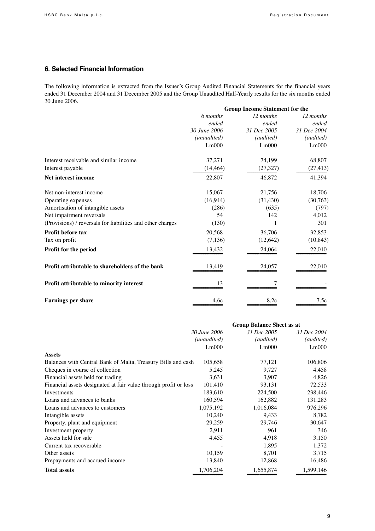## **6. Selected Financial Information**

The following information is extracted from the Issuer's Group Audited Financial Statements for the financial years ended 31 December 2004 and 31 December 2005 and the Group Unaudited Half-Yearly results for the six months ended 30 June 2006.

|                                                            | <b>Group Income Statement for the</b> |             |             |
|------------------------------------------------------------|---------------------------------------|-------------|-------------|
|                                                            | 6 months                              | 12 months   | 12 months   |
|                                                            | ended                                 | ended       | ended       |
|                                                            | 30 June 2006                          | 31 Dec 2005 | 31 Dec 2004 |
|                                                            | (unaudited)                           | (audited)   | (audited)   |
|                                                            | Lm000                                 | Lm000       | Lm000       |
| Interest receivable and similar income                     | 37,271                                | 74,199      | 68,807      |
| Interest payable                                           | (14, 464)                             | (27, 327)   | (27, 413)   |
| Net interest income                                        | 22,807                                | 46,872      | 41,394      |
| Net non-interest income                                    | 15,067                                | 21,756      | 18,706      |
| Operating expenses                                         | (16,944)                              | (31, 430)   | (30, 763)   |
| Amortisation of intangible assets                          | (286)                                 | (635)       | (797)       |
| Net impairment reversals                                   | 54                                    | 142         | 4,012       |
| (Provisions) / reversals for liabilities and other charges | (130)                                 |             | 301         |
| <b>Profit before tax</b>                                   | 20,568                                | 36,706      | 32,853      |
| Tax on profit                                              | (7, 136)                              | (12, 642)   | (10, 843)   |
| Profit for the period                                      | 13,432                                | 24,064      | 22,010      |
| Profit attributable to shareholders of the bank            | 13,419                                | 24,057      | 22,010      |
| Profit attributable to minority interest                   | 13                                    | 7           |             |
| <b>Earnings per share</b>                                  | 4.6c                                  | 8.2c        | 7.5c        |

|                                                                  | <b>Group Balance Sheet as at</b> |             |             |
|------------------------------------------------------------------|----------------------------------|-------------|-------------|
|                                                                  | 30 June 2006                     | 31 Dec 2005 | 31 Dec 2004 |
|                                                                  | (unaudited)                      | (audited)   | (audited)   |
|                                                                  | Lm000                            | Lm000       | Lm000       |
| <b>Assets</b>                                                    |                                  |             |             |
| Balances with Central Bank of Malta, Treasury Bills and cash     | 105,658                          | 77,121      | 106,806     |
| Cheques in course of collection                                  | 5,245                            | 9,727       | 4,458       |
| Financial assets held for trading                                | 3,631                            | 3,907       | 4,826       |
| Financial assets designated at fair value through profit or loss | 101,410                          | 93,131      | 72,533      |
| Investments                                                      | 183,610                          | 224,500     | 238,446     |
| Loans and advances to banks                                      | 160,594                          | 162,882     | 131,283     |
| Loans and advances to customers                                  | 1,075,192                        | 1,016,084   | 976,296     |
| Intangible assets                                                | 10,240                           | 9,433       | 8,782       |
| Property, plant and equipment                                    | 29,259                           | 29,746      | 30,647      |
| Investment property                                              | 2,911                            | 961         | 346         |
| Assets held for sale                                             | 4,455                            | 4,918       | 3,150       |
| Current tax recoverable                                          |                                  | 1,895       | 1,372       |
| Other assets                                                     | 10,159                           | 8,701       | 3,715       |
| Prepayments and accrued income                                   | 13,840                           | 12,868      | 16,486      |
| <b>Total assets</b>                                              | 1,706,204                        | 1,655,874   | 1,599,146   |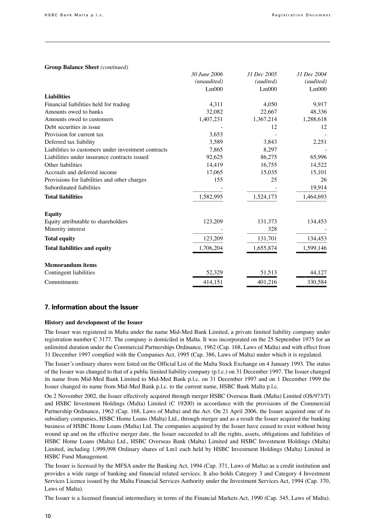#### **Group Balance Sheet** *(continued)*

|                                                     | 30 June 2006 | 31 Dec 2005 | <i>31 Dec 2004</i> |
|-----------------------------------------------------|--------------|-------------|--------------------|
|                                                     | (unaudited)  | (audited)   | (audited)          |
|                                                     | Lm000        | Lm000       | Lm000              |
| <b>Liabilities</b>                                  |              |             |                    |
| Financial liabilities held for trading              | 4,311        | 4.050       | 9,917              |
| Amounts owed to banks                               | 32,082       | 22,667      | 48,336             |
| Amounts owed to customers                           | 1,407,231    | 1,367,214   | 1,288,618          |
| Debt securities in issue.                           |              | 12          | 12                 |
| Provision for current tax                           | 3,653        |             |                    |
| Deferred tax liability                              | 3,589        | 3,843       | 2,251              |
| Liabilities to customers under investment contracts | 7,865        | 8,297       |                    |
| Liabilities under insurance contracts issued        | 92,625       | 86,275      | 65,996             |
| Other liabilities                                   | 14,419       | 16,755      | 14,522             |
| Accruals and deferred income                        | 17,065       | 15,035      | 15,101             |
| Provisions for liabilities and other charges        | 155          | 25          | 26                 |
| Subordinated liabilities                            |              |             | 19,914             |
| <b>Total liabilities</b>                            | 1,582,995    | 1,524,173   | 1,464,693          |
| <b>Equity</b>                                       |              |             |                    |
| Equity attributable to shareholders                 | 123,209      | 131,373     | 134,453            |
| Minority interest                                   |              | 328         |                    |
| <b>Total equity</b>                                 | 123,209      | 131,701     | 134,453            |
| <b>Total liabilities and equity</b>                 | 1,706,204    | 1,655,874   | 1,599,146          |
| <b>Memorandum</b> items                             |              |             |                    |
| Contingent liabilities                              | 52,329       | 51,513      | 44,127             |
| Commitments                                         | 414,151      | 401,216     | 330,584            |

#### **7. Information about the Issuer**

#### **History and development of the Issuer**

The Issuer was registered in Malta under the name Mid-Med Bank Limited, a private limited liability company under registration number C 3177. The company is domiciled in Malta. It was incorporated on the 25 September 1975 for an unlimited duration under the Commercial Partnerships Ordinance, 1962 (Cap. 168, Laws of Malta) and with effect from 31 December 1997 complied with the Companies Act, 1995 (Cap. 386, Laws of Malta) under which it is regulated.

The Issuer's ordinary shares were listed on the Official List of the Malta Stock Exchange on 4 January 1993. The status of the Issuer was changed to that of a public limited liability company (p.l.c.) on 31 December 1997. The Issuer changed its name from Mid-Med Bank Limited to Mid-Med Bank p.l.c. on 31 December 1997 and on 1 December 1999 the Issuer changed its name from Mid-Med Bank p.l.c. to the current name, HSBC Bank Malta p.l.c.

On 2 November 2002, the Issuer effectively acquired through merger HSBC Overseas Bank (Malta) Limited (OS/973/T) and HSBC Investment Holdings (Malta) Limited (C 19200) in accordance with the provisions of the Commercial Partnership Ordinance, 1962 (Cap. 168, Laws of Malta) and the Act. On 21 April 2006, the Issuer acquired one of its subsidiary companies, HSBC Home Loans (Malta) Ltd., through merger and as a result the Issuer acquired the banking business of HSBC Home Loans (Malta) Ltd. The companies acquired by the Issuer have ceased to exist without being wound up and on the effective merger date, the Issuer succeeded to all the rights, assets, obligations and liabilities of HSBC Home Loans (Malta) Ltd., HSBC Overseas Bank (Malta) Limited and HSBC Investment Holdings (Malta) Limited, including 1,999,998 Ordinary shares of Lm1 each held by HSBC Investment Holdings (Malta) Limited in HSBC Fund Management.

The Issuer is licensed by the MFSA under the Banking Act, 1994 (Cap. 371, Laws of Malta) as a credit institution and provides a wide range of banking and financial related services. It also holds Category 3 and Category 4 Investment Services Licence issued by the Malta Financial Services Authority under the Investment Services Act, 1994 (Cap. 370, Laws of Malta).

The Issuer is a licensed financial intermediary in terms of the Financial Markets Act, 1990 (Cap. 345, Laws of Malta).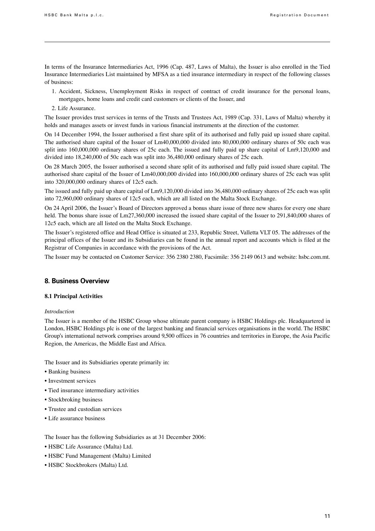In terms of the Insurance Intermediaries Act, 1996 (Cap. 487, Laws of Malta), the Issuer is also enrolled in the Tied Insurance Intermediaries List maintained by MFSA as a tied insurance intermediary in respect of the following classes of business:

- 1. Accident, Sickness, Unemployment Risks in respect of contract of credit insurance for the personal loans, mortgages, home loans and credit card customers or clients of the Issuer, and
- 2. Life Assurance.

The Issuer provides trust services in terms of the Trusts and Trustees Act, 1989 (Cap. 331, Laws of Malta) whereby it holds and manages assets or invest funds in various financial instruments at the direction of the customer.

On 14 December 1994, the Issuer authorised a first share split of its authorised and fully paid up issued share capital. The authorised share capital of the Issuer of Lm40,000,000 divided into 80,000,000 ordinary shares of 50c each was split into 160,000,000 ordinary shares of 25c each. The issued and fully paid up share capital of Lm9,120,000 and divided into 18,240,000 of 50c each was split into 36,480,000 ordinary shares of 25c each.

On 28 March 2005, the Issuer authorised a second share split of its authorised and fully paid issued share capital. The authorised share capital of the Issuer of Lm40,000,000 divided into 160,000,000 ordinary shares of 25c each was split into 320,000,000 ordinary shares of 12c5 each.

The issued and fully paid up share capital of Lm9,120,000 divided into 36,480,000 ordinary shares of 25c each was split into 72,960,000 ordinary shares of 12c5 each, which are all listed on the Malta Stock Exchange.

On 24 April 2006, the Issuer's Board of Directors approved a bonus share issue of three new shares for every one share held. The bonus share issue of Lm27,360,000 increased the issued share capital of the Issuer to 291,840,000 shares of 12c5 each, which are all listed on the Malta Stock Exchange.

The Issuer's registered office and Head Office is situated at 233, Republic Street, Valletta VLT 05. The addresses of the principal offices of the Issuer and its Subsidiaries can be found in the annual report and accounts which is filed at the Registrar of Companies in accordance with the provisions of the Act.

The Issuer may be contacted on Customer Service: 356 2380 2380, Facsimile: 356 2149 0613 and website: hsbc.com.mt.

## **8. Business Overview**

#### **8.1 Principal Activities**

#### *Introduction*

The Issuer is a member of the HSBC Group whose ultimate parent company is HSBC Holdings plc. Headquartered in London, HSBC Holdings plc is one of the largest banking and financial services organisations in the world. The HSBC Group's international network comprises around 9,500 offices in 76 countries and territories in Europe, the Asia Pacific Region, the Americas, the Middle East and Africa.

The Issuer and its Subsidiaries operate primarily in:

- Banking business
- Investment services
- Tied insurance intermediary activities
- Stockbroking business
- Trustee and custodian services
- Life assurance business

The Issuer has the following Subsidiaries as at 31 December 2006:

- HSBC Life Assurance (Malta) Ltd.
- HSBC Fund Management (Malta) Limited
- HSBC Stockbrokers (Malta) Ltd.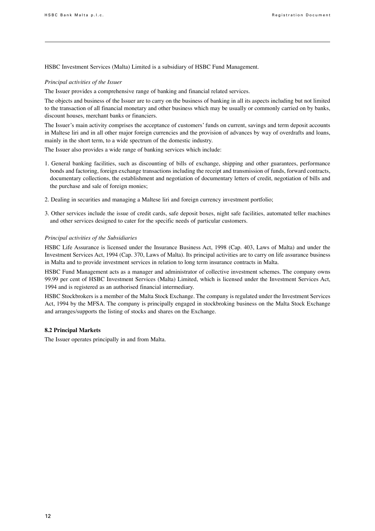HSBC Investment Services (Malta) Limited is a subsidiary of HSBC Fund Management.

#### *Principal activities of the Issuer*

The Issuer provides a comprehensive range of banking and financial related services.

The objects and business of the Issuer are to carry on the business of banking in all its aspects including but not limited to the transaction of all financial monetary and other business which may be usually or commonly carried on by banks, discount houses, merchant banks or financiers.

The Issuer's main activity comprises the acceptance of customers' funds on current, savings and term deposit accounts in Maltese liri and in all other major foreign currencies and the provision of advances by way of overdrafts and loans, mainly in the short term, to a wide spectrum of the domestic industry.

The Issuer also provides a wide range of banking services which include:

- 1. General banking facilities, such as discounting of bills of exchange, shipping and other guarantees, performance bonds and factoring, foreign exchange transactions including the receipt and transmission of funds, forward contracts, documentary collections, the establishment and negotiation of documentary letters of credit, negotiation of bills and the purchase and sale of foreign monies;
- 2. Dealing in securities and managing a Maltese liri and foreign currency investment portfolio;
- 3. Other services include the issue of credit cards, safe deposit boxes, night safe facilities, automated teller machines and other services designed to cater for the specific needs of particular customers.

#### *Principal activities of the Subsidiaries*

HSBC Life Assurance is licensed under the Insurance Business Act, 1998 (Cap. 403, Laws of Malta) and under the Investment Services Act, 1994 (Cap. 370, Laws of Malta). Its principal activities are to carry on life assurance business in Malta and to provide investment services in relation to long term insurance contracts in Malta.

HSBC Fund Management acts as a manager and administrator of collective investment schemes. The company owns 99.99 per cent of HSBC Investment Services (Malta) Limited, which is licensed under the Investment Services Act, 1994 and is registered as an authorised financial intermediary.

HSBC Stockbrokers is a member of the Malta Stock Exchange. The company is regulated under the Investment Services Act, 1994 by the MFSA. The company is principally engaged in stockbroking business on the Malta Stock Exchange and arranges/supports the listing of stocks and shares on the Exchange.

#### **8.2 Principal Markets**

The Issuer operates principally in and from Malta.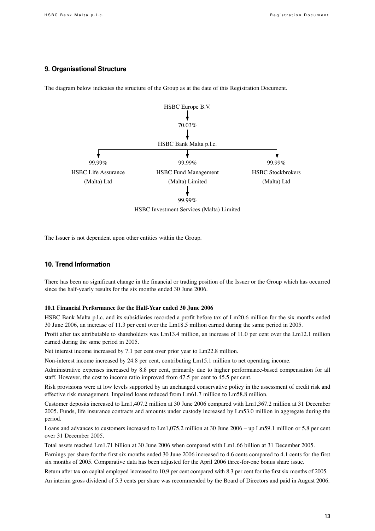#### **9. Organisational Structure**

The diagram below indicates the structure of the Group as at the date of this Registration Document.



The Issuer is not dependent upon other entities within the Group.

## **10. Trend Information**

There has been no significant change in the financial or trading position of the Issuer or the Group which has occurred since the half-yearly results for the six months ended 30 June 2006.

#### **10.1 Financial Performance for the Half-Year ended 30 June 2006**

HSBC Bank Malta p.l.c. and its subsidiaries recorded a profit before tax of Lm20.6 million for the six months ended 30 June 2006, an increase of 11.3 per cent over the Lm18.5 million earned during the same period in 2005.

Profit after tax attributable to shareholders was Lm13.4 million, an increase of 11.0 per cent over the Lm12.1 million earned during the same period in 2005.

Net interest income increased by 7.1 per cent over prior year to Lm22.8 million.

Non-interest income increased by 24.8 per cent, contributing Lm15.1 million to net operating income.

Administrative expenses increased by 8.8 per cent, primarily due to higher performance-based compensation for all staff. However, the cost to income ratio improved from 47.5 per cent to 45.5 per cent.

Risk provisions were at low levels supported by an unchanged conservative policy in the assessment of credit risk and effective risk management. Impaired loans reduced from Lm61.7 million to Lm58.8 million.

Customer deposits increased to Lm1,407.2 million at 30 June 2006 compared with Lm1,367.2 million at 31 December 2005. Funds, life insurance contracts and amounts under custody increased by Lm53.0 million in aggregate during the period.

Loans and advances to customers increased to Lm1,075.2 million at 30 June 2006 – up Lm59.1 million or 5.8 per cent over 31 December 2005.

Total assets reached Lm1.71 billion at 30 June 2006 when compared with Lm1.66 billion at 31 December 2005.

Earnings per share for the first six months ended 30 June 2006 increased to 4.6 cents compared to 4.1 cents for the first six months of 2005. Comparative data has been adjusted for the April 2006 three-for-one bonus share issue.

Return after tax on capital employed increased to 10.9 per cent compared with 8.3 per cent for the first six months of 2005.

An interim gross dividend of 5.3 cents per share was recommended by the Board of Directors and paid in August 2006.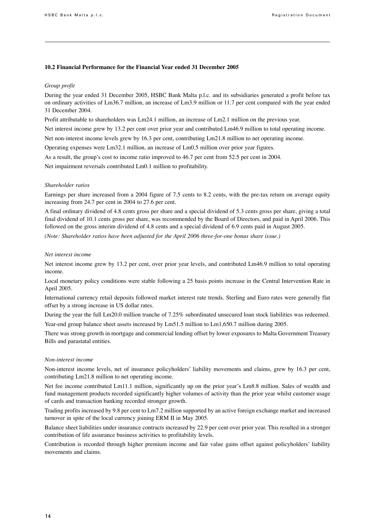#### **10.2 Financial Performance for the Financial Year ended 31 December 2005**

#### *Group profit*

During the year ended 31 December 2005, HSBC Bank Malta p.l.c. and its subsidiaries generated a profit before tax on ordinary activities of Lm36.7 million, an increase of Lm3.9 million or 11.7 per cent compared with the year ended 31 December 2004.

Profit attributable to shareholders was Lm24.1 million, an increase of Lm2.1 million on the previous year.

Net interest income grew by 13.2 per cent over prior year and contributed Lm46.9 million to total operating income.

Net non-interest income levels grew by 16.3 per cent, contributing Lm21.8 million to net operating income.

Operating expenses were Lm32.1 million, an increase of Lm0.5 million over prior year figures.

As a result, the group's cost to income ratio improved to 46.7 per cent from 52.5 per cent in 2004.

Net impairment reversals contributed Lm0.1 million to profitability.

#### *Shareholder ratios*

Earnings per share increased from a 2004 figure of 7.5 cents to 8.2 cents, with the pre-tax return on average equity increasing from 24.7 per cent in 2004 to 27.6 per cent.

A final ordinary dividend of 4.8 cents gross per share and a special dividend of 5.3 cents gross per share, giving a total final dividend of 10.1 cents gross per share, was recommended by the Board of Directors, and paid in April 2006. This followed on the gross interim dividend of 4.8 cents and a special dividend of 6.9 cents paid in August 2005.

*(Note: Shareholder ratios have been adjusted for the April 2006 three-for-one bonus share issue.)*

#### *Net interest income*

Net interest income grew by 13.2 per cent, over prior year levels, and contributed Lm46.9 million to total operating income.

Local monetary policy conditions were stable following a 25 basis points increase in the Central Intervention Rate in April 2005.

International currency retail deposits followed market interest rate trends. Sterling and Euro rates were generally flat offset by a strong increase in US dollar rates.

During the year the full Lm20.0 million tranche of 7.25% subordinated unsecured loan stock liabilities was redeemed.

Year-end group balance sheet assets increased by Lm51.5 million to Lm1,650.7 million during 2005.

There was strong growth in mortgage and commercial lending offset by lower exposures to Malta Government Treasury Bills and parastatal entities.

#### *Non-interest income*

Non-interest income levels, net of insurance policyholders' liability movements and claims, grew by 16.3 per cent, contributing Lm21.8 million to net operating income.

Net fee income contributed Lm11.1 million, significantly up on the prior year's Lm8.8 million. Sales of wealth and fund management products recorded significantly higher volumes of activity than the prior year whilst customer usage of cards and transaction banking recorded stronger growth.

Trading profits increased by 9.8 per cent to Lm7.2 million supported by an active foreign exchange market and increased turnover in spite of the local currency joining ERM II in May 2005.

Balance sheet liabilities under insurance contracts increased by 22.9 per cent over prior year. This resulted in a stronger contribution of life assurance business activities to profitability levels.

Contribution is recorded through higher premium income and fair value gains offset against policyholders' liability movements and claims.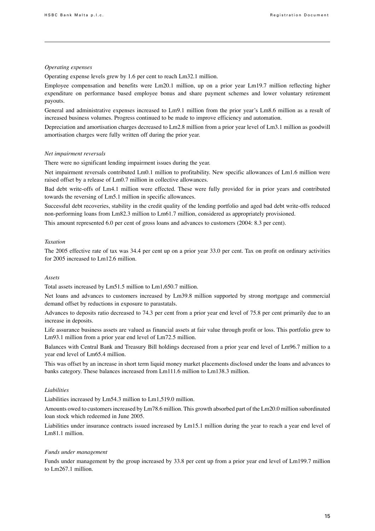#### *Operating expenses*

Operating expense levels grew by 1.6 per cent to reach Lm32.1 million.

Employee compensation and benefits were Lm20.1 million, up on a prior year Lm19.7 million reflecting higher expenditure on performance based employee bonus and share payment schemes and lower voluntary retirement payouts.

General and administrative expenses increased to Lm9.1 million from the prior year's Lm8.6 million as a result of increased business volumes. Progress continued to be made to improve efficiency and automation.

Depreciation and amortisation charges decreased to Lm2.8 million from a prior year level of Lm3.1 million as goodwill amortisation charges were fully written off during the prior year.

#### *Net impairment reversals*

There were no significant lending impairment issues during the year.

Net impairment reversals contributed Lm0.1 million to profitability. New specific allowances of Lm1.6 million were raised offset by a release of Lm0.7 million in collective allowances.

Bad debt write-offs of Lm4.1 million were effected. These were fully provided for in prior years and contributed towards the reversing of Lm5.1 million in specific allowances.

Successful debt recoveries, stability in the credit quality of the lending portfolio and aged bad debt write-offs reduced non-performing loans from Lm82.3 million to Lm61.7 million, considered as appropriately provisioned.

This amount represented 6.0 per cent of gross loans and advances to customers (2004: 8.3 per cent).

#### *Taxation*

The 2005 effective rate of tax was 34.4 per cent up on a prior year 33.0 per cent. Tax on profit on ordinary activities for 2005 increased to Lm12.6 million.

#### *Assets*

Total assets increased by Lm51.5 million to Lm1,650.7 million.

Net loans and advances to customers increased by Lm39.8 million supported by strong mortgage and commercial demand offset by reductions in exposure to parastatals.

Advances to deposits ratio decreased to 74.3 per cent from a prior year end level of 75.8 per cent primarily due to an increase in deposits.

Life assurance business assets are valued as financial assets at fair value through profit or loss. This portfolio grew to Lm93.1 million from a prior year end level of Lm72.5 million.

Balances with Central Bank and Treasury Bill holdings decreased from a prior year end level of Lm96.7 million to a year end level of Lm65.4 million.

This was offset by an increase in short term liquid money market placements disclosed under the loans and advances to banks category. These balances increased from Lm111.6 million to Lm138.3 million.

### *Liabilities*

Liabilities increased by Lm54.3 million to Lm1,519.0 million.

Amounts owed to customersincreased by Lm78.6 million. This growth absorbed part of the Lm20.0 million subordinated loan stock which redeemed in June 2005.

Liabilities under insurance contracts issued increased by Lm15.1 million during the year to reach a year end level of Lm81.1 million.

#### *Funds under management*

Funds under management by the group increased by 33.8 per cent up from a prior year end level of Lm199.7 million to Lm267.1 million.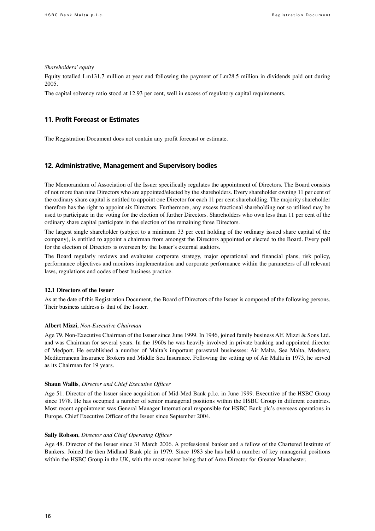#### *Shareholders' equity*

Equity totalled Lm131.7 million at year end following the payment of Lm28.5 million in dividends paid out during 2005.

The capital solvency ratio stood at 12.93 per cent, well in excess of regulatory capital requirements.

#### **11. Profit Forecast or Estimates**

The Registration Document does not contain any profit forecast or estimate.

## **12. Administrative, Management and Supervisory bodies**

The Memorandum of Association of the Issuer specifically regulates the appointment of Directors. The Board consists of not more than nine Directors who are appointed/elected by the shareholders. Every shareholder owning 11 per cent of the ordinary share capital is entitled to appoint one Director for each 11 per cent shareholding. The majority shareholder therefore has the right to appoint six Directors. Furthermore, any excess fractional shareholding not so utilised may be used to participate in the voting for the election of further Directors. Shareholders who own less than 11 per cent of the ordinary share capital participate in the election of the remaining three Directors.

The largest single shareholder (subject to a minimum 33 per cent holding of the ordinary issued share capital of the company), is entitled to appoint a chairman from amongst the Directors appointed or elected to the Board. Every poll for the election of Directors is overseen by the Issuer's external auditors.

The Board regularly reviews and evaluates corporate strategy, major operational and financial plans, risk policy, performance objectives and monitors implementation and corporate performance within the parameters of all relevant laws, regulations and codes of best business practice.

#### **12.1 Directors of the Issuer**

As at the date of this Registration Document, the Board of Directors of the Issuer is composed of the following persons. Their business address is that of the Issuer.

#### **Albert Mizzi**, *Non-Executive Chairman*

Age 79. Non-Executive Chairman of the Issuer since June 1999. In 1946, joined family business Alf. Mizzi & Sons Ltd. and was Chairman for several years. In the 1960s he was heavily involved in private banking and appointed director of Medport. He established a number of Malta's important parastatal businesses: Air Malta, Sea Malta, Medserv, Mediterranean Insurance Brokers and Middle Sea Insurance. Following the setting up of Air Malta in 1973, he served as its Chairman for 19 years.

#### **Shaun Wallis**, *Director and Chief Executive Officer*

Age 51. Director of the Issuer since acquisition of Mid-Med Bank p.l.c. in June 1999. Executive of the HSBC Group since 1978. He has occupied a number of senior managerial positions within the HSBC Group in different countries. Most recent appointment was General Manager International responsible for HSBC Bank plc's overseas operations in Europe. Chief Executive Officer of the Issuer since September 2004.

#### **Sally Robson**, *Director and Chief Operating Officer*

Age 48. Director of the Issuer since 31 March 2006. A professional banker and a fellow of the Chartered Institute of Bankers. Joined the then Midland Bank plc in 1979. Since 1983 she has held a number of key managerial positions within the HSBC Group in the UK, with the most recent being that of Area Director for Greater Manchester.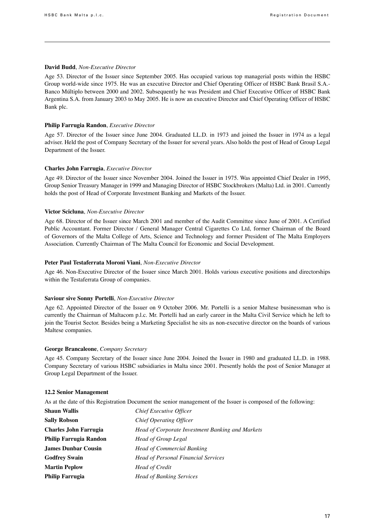#### **David Budd**, *Non-Executive Director*

Age 53. Director of the Issuer since September 2005. Has occupied various top managerial posts within the HSBC Group world-wide since 1975. He was an executive Director and Chief Operating Officer of HSBC Bank Brasil S.A.- Banco Múltiplo between 2000 and 2002. Subsequently he was President and Chief Executive Officer of HSBC Bank Argentina S.A. from January 2003 to May 2005. He is now an executive Director and Chief Operating Officer of HSBC Bank plc.

#### **Philip Farrugia Randon**, *Executive Director*

Age 57. Director of the Issuer since June 2004. Graduated LL.D. in 1973 and joined the Issuer in 1974 as a legal adviser. Held the post of Company Secretary of the Issuer for several years. Also holds the post of Head of Group Legal Department of the Issuer.

#### **Charles John Farrugia**, *Executive Director*

Age 49. Director of the Issuer since November 2004. Joined the Issuer in 1975. Was appointed Chief Dealer in 1995, Group Senior Treasury Manager in 1999 and Managing Director of HSBC Stockbrokers (Malta) Ltd. in 2001. Currently holds the post of Head of Corporate Investment Banking and Markets of the Issuer.

#### **Victor Scicluna**, *Non-Executive Director*

Age 68. Director of the Issuer since March 2001 and member of the Audit Committee since June of 2001. A Certified Public Accountant. Former Director / General Manager Central Cigarettes Co Ltd, former Chairman of the Board of Governors of the Malta College of Arts, Science and Technology and former President of The Malta Employers Association. Currently Chairman of The Malta Council for Economic and Social Development.

#### **Peter Paul Testaferrata Moroni Viani**, *Non-Executive Director*

Age 46. Non-Executive Director of the Issuer since March 2001. Holds various executive positions and directorships within the Testaferrata Group of companies.

#### **Saviour sive Sonny Portelli**, *Non-Executive Director*

Age 62. Appointed Director of the Issuer on 9 October 2006. Mr. Portelli is a senior Maltese businessman who is currently the Chairman of Maltacom p.l.c. Mr. Portelli had an early career in the Malta Civil Service which he left to join the Tourist Sector. Besides being a Marketing Specialist he sits as non-executive director on the boards of various Maltese companies.

#### **George Brancaleone**, *Company Secretary*

Age 45. Company Secretary of the Issuer since June 2004. Joined the Issuer in 1980 and graduated LL.D. in 1988. Company Secretary of various HSBC subsidiaries in Malta since 2001. Presently holds the post of Senior Manager at Group Legal Department of the Issuer.

#### **12.2 Senior Management**

As at the date of this Registration Document the senior management of the Issuer is composed of the following:

| <b>Shaun Wallis</b>          | <b>Chief Executive Officer</b>                   |
|------------------------------|--------------------------------------------------|
| <b>Sally Robson</b>          | <b>Chief Operating Officer</b>                   |
| <b>Charles John Farrugia</b> | Head of Corporate Investment Banking and Markets |
| Philip Farrugia Randon       | <b>Head of Group Legal</b>                       |
| <b>James Dunbar Cousin</b>   | <b>Head of Commercial Banking</b>                |
| <b>Godfrey Swain</b>         | <b>Head of Personal Financial Services</b>       |
| <b>Martin Peplow</b>         | Head of Credit                                   |
| <b>Philip Farrugia</b>       | <b>Head of Banking Services</b>                  |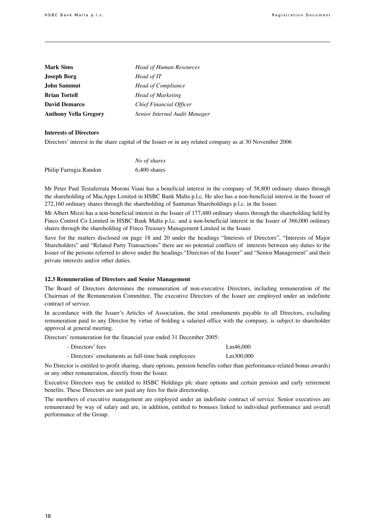| <b>Mark Sims</b>             | <b>Head of Human Resources</b> |
|------------------------------|--------------------------------|
| <b>Joseph Borg</b>           | Head of IT                     |
| John Sammut                  | <b>Head of Compliance</b>      |
| <b>Brian Tortell</b>         | <b>Head of Marketing</b>       |
| <b>David Demarco</b>         | Chief Financial Officer        |
| <b>Anthony Vella Gregory</b> | Senior Internal Audit Manager  |

#### **Interests of Directors**

Directors' interest in the share capital of the Issuer or in any related company as at 30 November 2006

|                        | No of shares |
|------------------------|--------------|
| Philip Farrugia Randon | 6,400 shares |

Mr Peter Paul Testaferrata Moroni Viani has a beneficial interest in the company of 58,800 ordinary shares through the shareholding of MacApps Limited in HSBC Bank Malta p.l.c. He also has a non-beneficial interest in the Issuer of 272,160 ordinary shares through the shareholding of Santumas Shareholdings p.l.c. in the Issuer.

Mr Albert Mizzi has a non-beneficial interest in the Issuer of 177,480 ordinary shares through the shareholding held by Finco Control Co Limited in HSBC Bank Malta p.l.c. and a non-beneficial interest in the Issuer of 366,000 ordinary shares through the shareholding of Finco Treasury Management Limited in the Issuer.

Save for the matters disclosed on page 18 and 20 under the headings "Interests of Directors", "Interests of Major Shareholders" and "Related Party Transactions" there are no potential conflicts of interests between any duties to the Issuer of the persons referred to above under the headings "Directors of the Issuer" and "Senior Management" and their private interests and/or other duties.

#### **12.3 Remuneration of Directors and Senior Management**

The Board of Directors determines the remuneration of non-executive Directors, including remuneration of the Chairman of the Remuneration Committee. The executive Directors of the Issuer are employed under an indefinite contract of service.

In accordance with the Issuer's Articles of Association, the total emoluments payable to all Directors, excluding remuneration paid to any Director by virtue of holding a salaried office with the company, is subject to shareholder approval at general meeting.

Directors' remuneration for the financial year ended 31 December 2005:

| - Directors' fees                                   | Lm46,000  |
|-----------------------------------------------------|-----------|
| - Directors' emoluments as full-time bank employees | Lm300,000 |

No Director is entitled to profit sharing, share options, pension benefits (other than performance-related bonus awards) or any other remuneration, directly from the Issuer.

Executive Directors may be entitled to HSBC Holdings plc share options and certain pension and early retirement benefits. These Directors are not paid any fees for their directorship.

The members of executive management are employed under an indefinite contract of service. Senior executives are remunerated by way of salary and are, in addition, entitled to bonuses linked to individual performance and overall performance of the Group.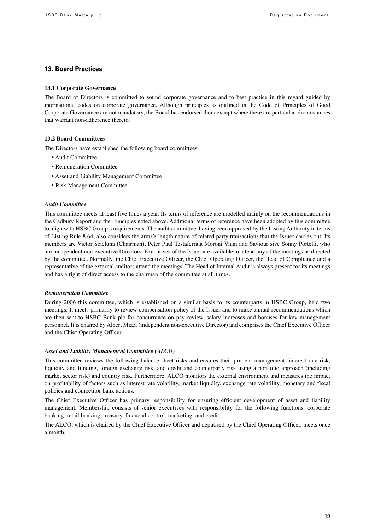## **13. Board Practices**

#### **13.1 Corporate Governance**

The Board of Directors is committed to sound corporate governance and to best practice in this regard guided by international codes on corporate governance. Although principles as outlined in the Code of Principles of Good Corporate Governance are not mandatory, the Board has endorsed them except where there are particular circumstances that warrant non-adherence thereto.

#### **13.2 Board Committees**

The Directors have established the following board committees:

- Audit Committee
- Remuneration Committee
- Asset and Liability Management Committee
- Risk Management Committee

#### *Audit Committee*

This committee meets at least five times a year. Its terms of reference are modelled mainly on the recommendations in the Cadbury Report and the Principles noted above. Additional terms of reference have been adopted by this committee to align with HSBC Group's requirements. The audit committee, having been approved by the Listing Authority in terms of Listing Rule 8.64, also considers the arms's length nature of related party transactions that the Issuer carries out. Its members are Victor Scicluna (Chairman), Peter Paul Testaferrata Moroni Viani and Saviour sive Sonny Portelli, who are independent non-executive Directors. Executives of the Issuer are available to attend any of the meetings as directed by the committee. Normally, the Chief Executive Officer, the Chief Operating Officer, the Head of Compliance and a representative of the external auditors attend the meetings. The Head of Internal Audit is always present for its meetings and has a right of direct access to the chairman of the committee at all times.

#### *Remuneration Committee*

During 2006 this committee, which is established on a similar basis to its counterparts in HSBC Group, held two meetings. It meets primarily to review compensation policy of the Issuer and to make annual recommendations which are then sent to HSBC Bank plc for concurrence on pay review, salary increases and bonuses for key management personnel. It is chaired by Albert Mizzi (independent non-executive Director) and comprises the Chief Executive Officer and the Chief Operating Officer.

#### *Asset and Liability Management Committee (ALCO)*

This committee reviews the following balance sheet risks and ensures their prudent management: interest rate risk, liquidity and funding, foreign exchange risk, and credit and counterparty risk using a portfolio approach (including market sector risk) and country risk. Furthermore, ALCO monitors the external environment and measures the impact on profitability of factors such as interest rate volatility, market liquidity, exchange rate volatility, monetary and fiscal policies and competitor bank actions.

The Chief Executive Officer has primary responsibility for ensuring efficient development of asset and liability management. Membership consists of senior executives with responsibility for the following functions: corporate banking, retail banking, treasury, financial control, marketing, and credit.

The ALCO, which is chaired by the Chief Executive Officer and deputised by the Chief Operating Officer, meets once a month.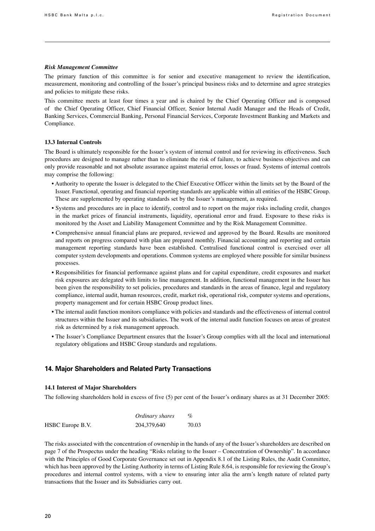#### *Risk Management Committee*

The primary function of this committee is for senior and executive management to review the identification, measurement, monitoring and controlling of the Issuer's principal business risks and to determine and agree strategies and policies to mitigate these risks.

This committee meets at least four times a year and is chaired by the Chief Operating Officer and is composed of the Chief Operating Officer, Chief Financial Officer, Senior Internal Audit Manager and the Heads of Credit, Banking Services, Commercial Banking, Personal Financial Services, Corporate Investment Banking and Markets and Compliance.

#### **13.3 Internal Controls**

The Board is ultimately responsible for the Issuer's system of internal control and for reviewing its effectiveness. Such procedures are designed to manage rather than to eliminate the risk of failure, to achieve business objectives and can only provide reasonable and not absolute assurance against material error, losses or fraud. Systems of internal controls may comprise the following:

- Authority to operate the Issuer is delegated to the Chief Executive Officer within the limits set by the Board of the Issuer. Functional, operating and financial reporting standards are applicable within all entities of the HSBC Group. These are supplemented by operating standards set by the Issuer's management, as required.
- Systems and procedures are in place to identify, control and to report on the major risks including credit, changes in the market prices of financial instruments, liquidity, operational error and fraud. Exposure to these risks is monitored by the Asset and Liability Management Committee and by the Risk Management Committee.
- Comprehensive annual financial plans are prepared, reviewed and approved by the Board. Results are monitored and reports on progress compared with plan are prepared monthly. Financial accounting and reporting and certain management reporting standards have been established. Centralised functional control is exercised over all computer system developments and operations. Common systems are employed where possible for similar business processes.
- Responsibilities for financial performance against plans and for capital expenditure, credit exposures and market risk exposures are delegated with limits to line management. In addition, functional management in the Issuer has been given the responsibility to set policies, procedures and standards in the areas of finance, legal and regulatory compliance, internal audit, human resources, credit, market risk, operational risk, computer systems and operations, property management and for certain HSBC Group product lines.
- The internal audit function monitors compliance with policies and standards and the effectiveness of internal control structures within the Issuer and its subsidiaries. The work of the internal audit function focuses on areas of greatest risk as determined by a risk management approach.
- The Issuer's Compliance Department ensures that the Issuer's Group complies with all the local and international regulatory obligations and HSBC Group standards and regulations.

## **14. Major Shareholders and Related Party Transactions**

#### **14.1 Interest of Major Shareholders**

The following shareholders hold in excess of five (5) per cent of the Issuer's ordinary shares as at 31 December 2005:

|                  | Ordinary shares |       |
|------------------|-----------------|-------|
| HSBC Europe B.V. | 204,379,640     | 70.03 |

The risks associated with the concentration of ownership in the hands of any of the Issuer's shareholders are described on page 7 of the Prospectus under the heading "Risks relating to the Issuer – Concentration of Ownership". In accordance with the Principles of Good Corporate Governance set out in Appendix 8.1 of the Listing Rules, the Audit Committee, which has been approved by the Listing Authority in terms of Listing Rule 8.64, is responsible for reviewing the Group's procedures and internal control systems, with a view to ensuring inter alia the arm's length nature of related party transactions that the Issuer and its Subsidiaries carry out.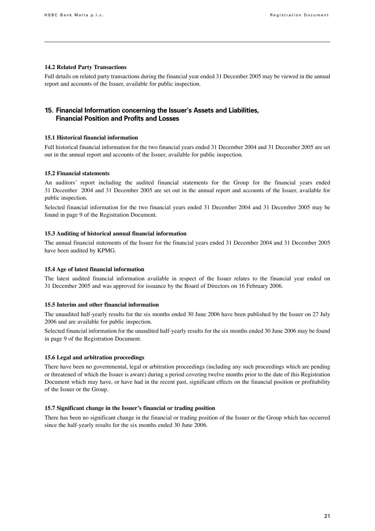#### **14.2 Related Party Transactions**

Full details on related party transactions during the financial year ended 31 December 2005 may be viewed in the annual report and accounts of the Issuer, available for public inspection.

## **15. Financial Information concerning the Issuer's Assets and Liabilities, Financial Position and Profits and Losses**

#### **15.1 Historical financial information**

Full historical financial information for the two financial years ended 31 December 2004 and 31 December 2005 are set out in the annual report and accounts of the Issuer, available for public inspection.

#### **15.2 Financial statements**

An auditors' report including the audited financial statements for the Group for the financial years ended 31 December 2004 and 31 December 2005 are set out in the annual report and accounts of the Issuer, available for public inspection.

Selected financial information for the two financial years ended 31 December 2004 and 31 December 2005 may be found in page 9 of the Registration Document.

#### **15.3 Auditing of historical annual financial information**

The annual financial statements of the Issuer for the financial years ended 31 December 2004 and 31 December 2005 have been audited by KPMG.

#### **15.4 Age of latest financial information**

The latest audited financial information available in respect of the Issuer relates to the financial year ended on 31 December 2005 and was approved for issuance by the Board of Directors on 16 February 2006.

#### **15.5 Interim and other financial information**

The unaudited half-yearly results for the six months ended 30 June 2006 have been published by the Issuer on 27 July 2006 and are available for public inspection.

Selected financial information for the unaudited half-yearly results for the six months ended 30 June 2006 may be found in page 9 of the Registration Document.

#### **15.6 Legal and arbitration proceedings**

There have been no governmental, legal or arbitration proceedings (including any such proceedings which are pending or threatened of which the Issuer is aware) during a period covering twelve months prior to the date of this Registration Document which may have, or have had in the recent past, significant effects on the financial position or profitability of the Issuer or the Group.

#### **15.7 Significant change in the Issuer's financial or trading position**

There has been no significant change in the financial or trading position of the Issuer or the Group which has occurred since the half-yearly results for the six months ended 30 June 2006.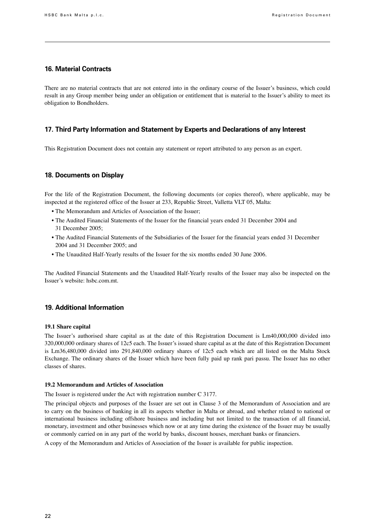#### **16. Material Contracts**

There are no material contracts that are not entered into in the ordinary course of the Issuer's business, which could result in any Group member being under an obligation or entitlement that is material to the Issuer's ability to meet its obligation to Bondholders.

### **17. Third Party Information and Statement by Experts and Declarations of any Interest**

This Registration Document does not contain any statement or report attributed to any person as an expert.

### **18. Documents on Display**

For the life of the Registration Document, the following documents (or copies thereof), where applicable, may be inspected at the registered office of the Issuer at 233, Republic Street, Valletta VLT 05, Malta:

- The Memorandum and Articles of Association of the Issuer;
- The Audited Financial Statements of the Issuer for the financial years ended 31 December 2004 and 31 December 2005;
- The Audited Financial Statements of the Subsidiaries of the Issuer for the financial years ended 31 December 2004 and 31 December 2005; and
- The Unaudited Half-Yearly results of the Issuer for the six months ended 30 June 2006.

The Audited Financial Statements and the Unaudited Half-Yearly results of the Issuer may also be inspected on the Issuer's website: hsbc.com.mt.

### **19. Additional Information**

#### **19.1 Share capital**

The Issuer's authorised share capital as at the date of this Registration Document is Lm40,000,000 divided into 320,000,000 ordinary shares of 12c5 each. The Issuer's issued share capital as at the date of this Registration Document is Lm36,480,000 divided into 291,840,000 ordinary shares of 12c5 each which are all listed on the Malta Stock Exchange. The ordinary shares of the Issuer which have been fully paid up rank pari passu. The Issuer has no other classes of shares.

#### **19.2 Memorandum and Articles of Association**

The Issuer is registered under the Act with registration number C 3177.

The principal objects and purposes of the Issuer are set out in Clause 3 of the Memorandum of Association and are to carry on the business of banking in all its aspects whether in Malta or abroad, and whether related to national or international business including offshore business and including but not limited to the transaction of all financial, monetary, investment and other businesses which now or at any time during the existence of the Issuer may be usually or commonly carried on in any part of the world by banks, discount houses, merchant banks or financiers.

A copy of the Memorandum and Articles of Association of the Issuer is available for public inspection.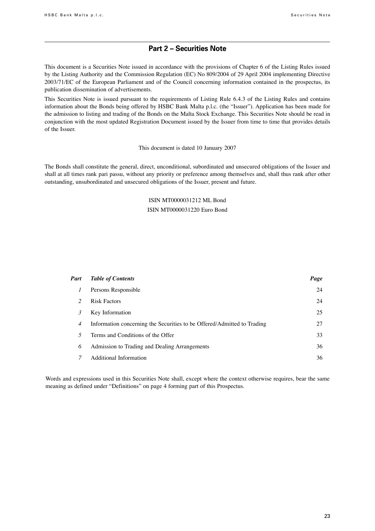## **Part 2 – Securities Note**

This document is a Securities Note issued in accordance with the provisions of Chapter 6 of the Listing Rules issued by the Listing Authority and the Commission Regulation (EC) No 809/2004 of 29 April 2004 implementing Directive 2003/71/EC of the European Parliament and of the Council concerning information contained in the prospectus, its publication dissemination of advertisements.

This Securities Note is issued pursuant to the requirements of Listing Rule 6.4.3 of the Listing Rules and contains information about the Bonds being offered by HSBC Bank Malta p.l.c. (the "Issuer"). Application has been made for the admission to listing and trading of the Bonds on the Malta Stock Exchange. This Securities Note should be read in conjunction with the most updated Registration Document issued by the Issuer from time to time that provides details of the Issuer.

#### This document is dated 10 January 2007

The Bonds shall constitute the general, direct, unconditional, subordinated and unsecured obligations of the Issuer and shall at all times rank pari passu, without any priority or preference among themselves and, shall thus rank after other outstanding, unsubordinated and unsecured obligations of the Issuer, present and future.

## ISIN MT0000031212 ML Bond ISIN MT0000031220 Euro Bond

| Part           | <b>Table of Contents</b>                                                | Page |
|----------------|-------------------------------------------------------------------------|------|
| $\perp$        | Persons Responsible                                                     | 24   |
| $\mathcal{L}$  | <b>Risk Factors</b>                                                     | 24   |
| 3              | Key Information                                                         | 25   |
| $\overline{4}$ | Information concerning the Securities to be Offered/Admitted to Trading | 27   |
| 5              | Terms and Conditions of the Offer                                       | 33   |
| 6              | Admission to Trading and Dealing Arrangements                           | 36   |
|                | Additional Information                                                  | 36   |

Words and expressions used in this Securities Note shall, except where the context otherwise requires, bear the same meaning as defined under "Definitions" on page 4 forming part of this Prospectus.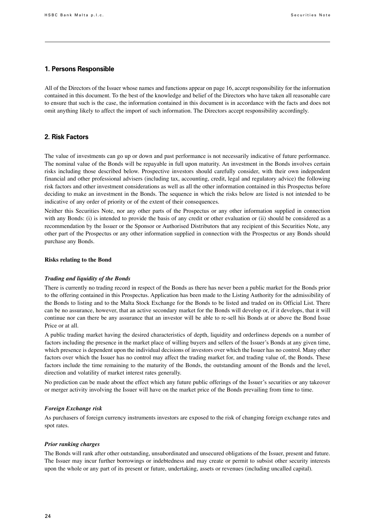#### **1. Persons Responsible**

All of the Directors of the Issuer whose names and functions appear on page 16, accept responsibility for the information contained in this document. To the best of the knowledge and belief of the Directors who have taken all reasonable care to ensure that such is the case, the information contained in this document is in accordance with the facts and does not omit anything likely to affect the import of such information. The Directors accept responsibility accordingly.

## **2. Risk Factors**

The value of investments can go up or down and past performance is not necessarily indicative of future performance. The nominal value of the Bonds will be repayable in full upon maturity. An investment in the Bonds involves certain risks including those described below. Prospective investors should carefully consider, with their own independent financial and other professional advisers (including tax, accounting, credit, legal and regulatory advice) the following risk factors and other investment considerations as well as all the other information contained in this Prospectus before deciding to make an investment in the Bonds. The sequence in which the risks below are listed is not intended to be indicative of any order of priority or of the extent of their consequences.

Neither this Securities Note, nor any other parts of the Prospectus or any other information supplied in connection with any Bonds: (i) is intended to provide the basis of any credit or other evaluation or (ii) should be considered as a recommendation by the Issuer or the Sponsor or Authorised Distributors that any recipient of this Securities Note, any other part of the Prospectus or any other information supplied in connection with the Prospectus or any Bonds should purchase any Bonds.

#### **Risks relating to the Bond**

#### *Trading and liquidity of the Bonds*

There is currently no trading record in respect of the Bonds as there has never been a public market for the Bonds prior to the offering contained in this Prospectus. Application has been made to the Listing Authority for the admissibility of the Bonds to listing and to the Malta Stock Exchange for the Bonds to be listed and traded on its Official List. There can be no assurance, however, that an active secondary market for the Bonds will develop or, if it develops, that it will continue nor can there be any assurance that an investor will be able to re-sell his Bonds at or above the Bond Issue Price or at all.

A public trading market having the desired characteristics of depth, liquidity and orderliness depends on a number of factors including the presence in the market place of willing buyers and sellers of the Issuer's Bonds at any given time, which presence is dependent upon the individual decisions of investors over which the Issuer has no control. Many other factors over which the Issuer has no control may affect the trading market for, and trading value of, the Bonds. These factors include the time remaining to the maturity of the Bonds, the outstanding amount of the Bonds and the level, direction and volatility of market interest rates generally.

No prediction can be made about the effect which any future public offerings of the Issuer's securities or any takeover or merger activity involving the Issuer will have on the market price of the Bonds prevailing from time to time.

#### *Foreign Exchange risk*

As purchasers of foreign currency instruments investors are exposed to the risk of changing foreign exchange rates and spot rates.

#### *Prior ranking charges*

The Bonds will rank after other outstanding, unsubordinated and unsecured obligations of the Issuer, present and future. The Issuer may incur further borrowings or indebtedness and may create or permit to subsist other security interests upon the whole or any part of its present or future, undertaking, assets or revenues (including uncalled capital).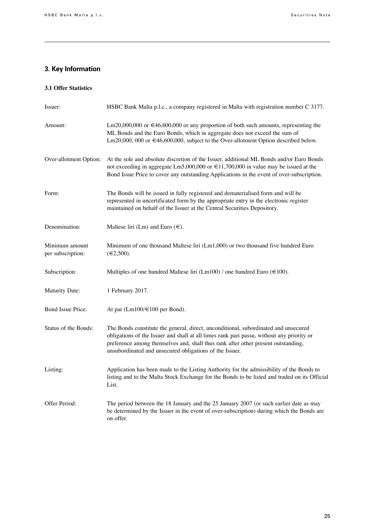## **3. Key Information**

## **3.1 Offer Statistics**

| Issuer:                             | HSBC Bank Malta p.l.c., a company registered in Malta with registration number C 3177.                                                                                                                                                                                                                                           |
|-------------------------------------|----------------------------------------------------------------------------------------------------------------------------------------------------------------------------------------------------------------------------------------------------------------------------------------------------------------------------------|
| Amount:                             | Lm20,000,000 or $\in$ 46,600,000 or any proportion of both such amounts, representing the<br>ML Bonds and the Euro Bonds, which in aggregate does not exceed the sum of<br>Lm20,000, 000 or €46,600,000, subject to the Over-allotment Option described below.                                                                   |
| Over-allotment Option:              | At the sole and absolute discretion of the Issuer, additional ML Bonds and/or Euro Bonds<br>not exceeding in aggregate Lm5,000,000 or $\in$ 11,700,000 in value may be issued at the<br>Bond Issue Price to cover any outstanding Applications in the event of over-subscription.                                                |
| Form:                               | The Bonds will be issued in fully registered and dematerialised form and will be<br>represented in uncertificated form by the appropriate entry in the electronic register<br>maintained on behalf of the Issuer at the Central Securities Depository.                                                                           |
| Denomination:                       | Maltese liri (Lm) and Euro $(\epsilon)$ .                                                                                                                                                                                                                                                                                        |
| Minimum amount<br>per subscription: | Minimum of one thousand Maltese liri (Lm1,000) or two thousand five hundred Euro<br>$(\epsilon 2,500)$ .                                                                                                                                                                                                                         |
| Subscription:                       | Multiples of one hundred Maltese liri (Lm100) / one hundred Euro ( $\in$ 100).                                                                                                                                                                                                                                                   |
| <b>Maturity Date:</b>               | 1 February 2017.                                                                                                                                                                                                                                                                                                                 |
| <b>Bond Issue Price:</b>            | At par (Lm100/€100 per Bond).                                                                                                                                                                                                                                                                                                    |
| Status of the Bonds:                | The Bonds constitute the general, direct, unconditional, subordinated and unsecured<br>obligations of the Issuer and shall at all times rank pari passu, without any priority or<br>preference among themselves and, shall thus rank after other present outstanding,<br>unsubordinated and unsecured obligations of the Issuer. |
| Listing:                            | Application has been made to the Listing Authority for the admissibility of the Bonds to<br>listing and to the Malta Stock Exchange for the Bonds to be listed and traded on its Official<br>List.                                                                                                                               |
| Offer Period:                       | The period between the 18 January and the 25 January 2007 (or such earlier date as may<br>be determined by the Issuer in the event of over-subscription) during which the Bonds are<br>on offer.                                                                                                                                 |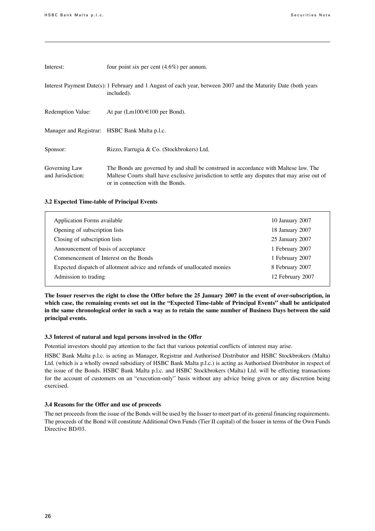| Interest:                          | four point six per cent $(4.6\%)$ per annum.                                                                                                                                                                              |
|------------------------------------|---------------------------------------------------------------------------------------------------------------------------------------------------------------------------------------------------------------------------|
|                                    | Interest Payment Date(s): 1 February and 1 August of each year, between 2007 and the Maturity Date (both years<br>included).                                                                                              |
| Redemption Value:                  | At par $(Lm100/\text{E}100$ per Bond).                                                                                                                                                                                    |
|                                    | Manager and Registrar: HSBC Bank Malta p.l.c.                                                                                                                                                                             |
| Sponsor:                           | Rizzo, Farrugia & Co. (Stockbrokers) Ltd.                                                                                                                                                                                 |
| Governing Law<br>and Jurisdiction: | The Bonds are governed by and shall be construed in accordance with Maltese law. The<br>Maltese Courts shall have exclusive jurisdiction to settle any disputes that may arise out of<br>or in connection with the Bonds. |

#### **3.2 Expected Time-table of Principal Events**

| Application Forms available                                             | 10 January 2007  |
|-------------------------------------------------------------------------|------------------|
| Opening of subscription lists                                           | 18 January 2007  |
| Closing of subscription lists                                           | 25 January 2007  |
| Announcement of basis of acceptance                                     | 1 February 2007  |
| Commencement of Interest on the Bonds                                   | 1 February 2007  |
| Expected dispatch of allotment advice and refunds of unallocated monies | 8 February 2007  |
| Admission to trading                                                    | 12 February 2007 |
|                                                                         |                  |

**The Issuer reserves the right to close the Offer before the 25 January 2007 in the event of over-subscription, in which case, the remaining events set out in the "Expected Time-table of Principal Events" shall be anticipated in the same chronological order in such a way as to retain the same number of Business Days between the said principal events.**

#### **3.3 Interest of natural and legal persons involved in the Offer**

Potential investors should pay attention to the fact that various potential conflicts of interest may arise.

HSBC Bank Malta p.l.c. is acting as Manager, Registrar and Authorised Distributor and HSBC Stockbrokers (Malta) Ltd. (which is a wholly owned subsidiary of HSBC Bank Malta p.l.c.) is acting as Authorised Distributor in respect of the issue of the Bonds. HSBC Bank Malta p.l.c. and HSBC Stockbrokers (Malta) Ltd. will be effecting transactions for the account of customers on an "execution-only" basis without any advice being given or any discretion being exercised.

#### **3.4 Reasons for the Offer and use of proceeds**

The net proceeds from the issue of the Bonds will be used by the Issuer to meet part of its general financing requirements. The proceeds of the Bond will constitute Additional Own Funds (Tier II capital) of the Issuer in terms of the Own Funds Directive BD/03.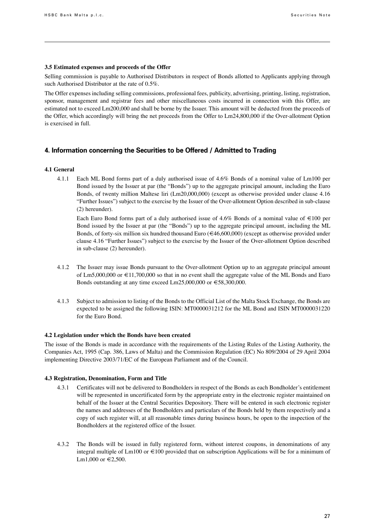#### **3.5 Estimated expenses and proceeds of the Offer**

Selling commission is payable to Authorised Distributors in respect of Bonds allotted to Applicants applying through such Authorised Distributor at the rate of 0.5%.

The Offer expenses including selling commissions, professional fees, publicity, advertising, printing, listing, registration, sponsor, management and registrar fees and other miscellaneous costs incurred in connection with this Offer, are estimated not to exceed Lm200,000 and shall be borne by the Issuer. This amount will be deducted from the proceeds of the Offer, which accordingly will bring the net proceeds from the Offer to Lm24,800,000 if the Over-allotment Option is exercised in full.

## **4. Information concerning the Securities to be Offered / Admitted to Trading**

#### **4.1 General**

4.1.1 Each ML Bond forms part of a duly authorised issue of 4.6% Bonds of a nominal value of Lm100 per Bond issued by the Issuer at par (the "Bonds") up to the aggregate principal amount, including the Euro Bonds, of twenty million Maltese liri (Lm20,000,000) (except as otherwise provided under clause 4.16 "Further Issues") subject to the exercise by the Issuer of the Over-allotment Option described in sub-clause (2) hereunder).

Each Euro Bond forms part of a duly authorised issue of 4.6% Bonds of a nominal value of  $\in$  100 per Bond issued by the Issuer at par (the "Bonds") up to the aggregate principal amount, including the ML Bonds, of forty-six million six hundred thousand Euro ( $\in 46,600,000$ ) (except as otherwise provided under clause 4.16 "Further Issues") subject to the exercise by the Issuer of the Over-allotment Option described in sub-clause (2) hereunder).

- 4.1.2 The Issuer may issue Bonds pursuant to the Over-allotment Option up to an aggregate principal amount of Lm5,000,000 or €11,700,000 so that in no event shall the aggregate value of the ML Bonds and Euro Bonds outstanding at any time exceed Lm25,000,000 or €58,300,000.
- 4.1.3 Subject to admission to listing of the Bonds to the Official List of the Malta Stock Exchange, the Bonds are expected to be assigned the following ISIN: MT0000031212 for the ML Bond and ISIN MT0000031220 for the Euro Bond.

#### **4.2 Legislation under which the Bonds have been created**

The issue of the Bonds is made in accordance with the requirements of the Listing Rules of the Listing Authority, the Companies Act, 1995 (Cap. 386, Laws of Malta) and the Commission Regulation (EC) No 809/2004 of 29 April 2004 implementing Directive 2003/71/EC of the European Parliament and of the Council.

#### **4.3 Registration, Denomination, Form and Title**

- 4.3.1 Certificates will not be delivered to Bondholders in respect of the Bonds as each Bondholder's entitlement will be represented in uncertificated form by the appropriate entry in the electronic register maintained on behalf of the Issuer at the Central Securities Depository. There will be entered in such electronic register the names and addresses of the Bondholders and particulars of the Bonds held by them respectively and a copy of such register will, at all reasonable times during business hours, be open to the inspection of the Bondholders at the registered office of the Issuer.
- 4.3.2 The Bonds will be issued in fully registered form, without interest coupons, in denominations of any integral multiple of Lm100 or €100 provided that on subscription Applications will be for a minimum of Lm1,000 or €2,500.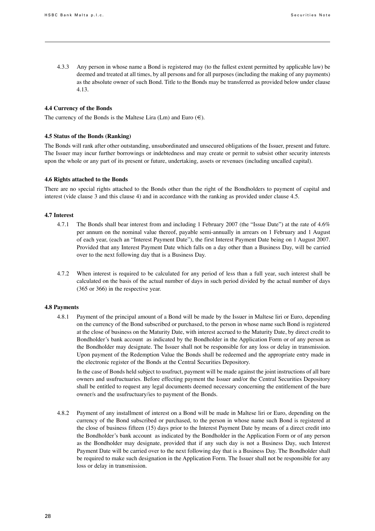4.3.3 Any person in whose name a Bond is registered may (to the fullest extent permitted by applicable law) be deemed and treated at all times, by all persons and for all purposes (including the making of any payments) as the absolute owner of such Bond. Title to the Bonds may be transferred as provided below under clause 4.13.

#### **4.4 Currency of the Bonds**

The currency of the Bonds is the Maltese Lira (Lm) and Euro  $(\epsilon)$ .

#### **4.5 Status of the Bonds (Ranking)**

The Bonds will rank after other outstanding, unsubordinated and unsecured obligations of the Issuer, present and future. The Issuer may incur further borrowings or indebtedness and may create or permit to subsist other security interests upon the whole or any part of its present or future, undertaking, assets or revenues (including uncalled capital).

#### **4.6 Rights attached to the Bonds**

There are no special rights attached to the Bonds other than the right of the Bondholders to payment of capital and interest (vide clause 3 and this clause 4) and in accordance with the ranking as provided under clause 4.5.

#### **4.7 Interest**

- 4.7.1 The Bonds shall bear interest from and including 1 February 2007 (the "Issue Date") at the rate of 4.6% per annum on the nominal value thereof, payable semi-annually in arrears on 1 February and 1 August of each year, (each an "Interest Payment Date"), the first Interest Payment Date being on 1 August 2007. Provided that any Interest Payment Date which falls on a day other than a Business Day, will be carried over to the next following day that is a Business Day.
- 4.7.2 When interest is required to be calculated for any period of less than a full year, such interest shall be calculated on the basis of the actual number of days in such period divided by the actual number of days (365 or 366) in the respective year.

#### **4.8 Payments**

4.8.1 Payment of the principal amount of a Bond will be made by the Issuer in Maltese liri or Euro, depending on the currency of the Bond subscribed or purchased, to the person in whose name such Bond is registered at the close of business on the Maturity Date, with interest accrued to the Maturity Date, by direct credit to Bondholder's bank account as indicated by the Bondholder in the Application Form or of any person as the Bondholder may designate. The Issuer shall not be responsible for any loss or delay in transmission. Upon payment of the Redemption Value the Bonds shall be redeemed and the appropriate entry made in the electronic register of the Bonds at the Central Securities Depository.

In the case of Bonds held subject to usufruct, payment will be made against the joint instructions of all bare owners and usufructuaries. Before effecting payment the Issuer and/or the Central Securities Depository shall be entitled to request any legal documents deemed necessary concerning the entitlement of the bare owner/s and the usufructuary/ies to payment of the Bonds.

4.8.2 Payment of any installment of interest on a Bond will be made in Maltese liri or Euro, depending on the currency of the Bond subscribed or purchased, to the person in whose name such Bond is registered at the close of business fifteen (15) days prior to the Interest Payment Date by means of a direct credit into the Bondholder's bank account as indicated by the Bondholder in the Application Form or of any person as the Bondholder may designate, provided that if any such day is not a Business Day, such Interest Payment Date will be carried over to the next following day that is a Business Day. The Bondholder shall be required to make such designation in the Application Form. The Issuer shall not be responsible for any loss or delay in transmission.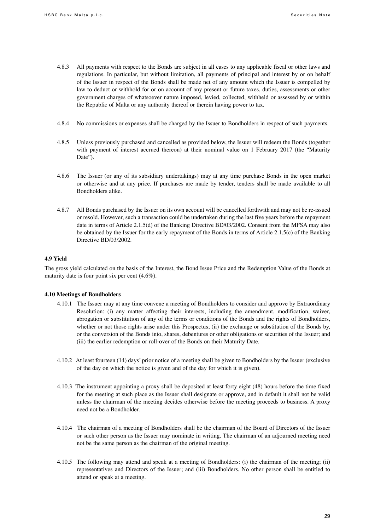- 4.8.3 All payments with respect to the Bonds are subject in all cases to any applicable fiscal or other laws and regulations. In particular, but without limitation, all payments of principal and interest by or on behalf of the Issuer in respect of the Bonds shall be made net of any amount which the Issuer is compelled by law to deduct or withhold for or on account of any present or future taxes, duties, assessments or other government charges of whatsoever nature imposed, levied, collected, withheld or assessed by or within the Republic of Malta or any authority thereof or therein having power to tax.
- 4.8.4 No commissions or expenses shall be charged by the Issuer to Bondholders in respect of such payments.
- 4.8.5 Unless previously purchased and cancelled as provided below, the Issuer will redeem the Bonds (together with payment of interest accrued thereon) at their nominal value on 1 February 2017 (the "Maturity Date").
- 4.8.6 The Issuer (or any of its subsidiary undertakings) may at any time purchase Bonds in the open market or otherwise and at any price. If purchases are made by tender, tenders shall be made available to all Bondholders alike.
- 4.8.7 All Bonds purchased by the Issuer on its own account will be cancelled forthwith and may not be re-issued or resold. However, such a transaction could be undertaken during the last five years before the repayment date in terms of Article 2.1.5(d) of the Banking Directive BD/03/2002. Consent from the MFSA may also be obtained by the Issuer for the early repayment of the Bonds in terms of Article 2.1.5(c) of the Banking Directive BD/03/2002.

#### **4.9 Yield**

The gross yield calculated on the basis of the Interest, the Bond Issue Price and the Redemption Value of the Bonds at maturity date is four point six per cent (4.6%).

#### **4.10 Meetings of Bondholders**

- 4.10.1 The Issuer may at any time convene a meeting of Bondholders to consider and approve by Extraordinary Resolution: (i) any matter affecting their interests, including the amendment, modification, waiver, abrogation or substitution of any of the terms or conditions of the Bonds and the rights of Bondholders, whether or not those rights arise under this Prospectus; (ii) the exchange or substitution of the Bonds by, or the conversion of the Bonds into, shares, debentures or other obligations or securities of the Issuer; and (iii) the earlier redemption or roll-over of the Bonds on their Maturity Date.
- 4.10.2 At least fourteen (14) days' prior notice of a meeting shall be given to Bondholders by the Issuer (exclusive of the day on which the notice is given and of the day for which it is given).
- 4.10.3 The instrument appointing a proxy shall be deposited at least forty eight (48) hours before the time fixed for the meeting at such place as the Issuer shall designate or approve, and in default it shall not be valid unless the chairman of the meeting decides otherwise before the meeting proceeds to business. A proxy need not be a Bondholder.
- 4.10.4 The chairman of a meeting of Bondholders shall be the chairman of the Board of Directors of the Issuer or such other person as the Issuer may nominate in writing. The chairman of an adjourned meeting need not be the same person as the chairman of the original meeting.
- 4.10.5 The following may attend and speak at a meeting of Bondholders: (i) the chairman of the meeting; (ii) representatives and Directors of the Issuer; and (iii) Bondholders. No other person shall be entitled to attend or speak at a meeting.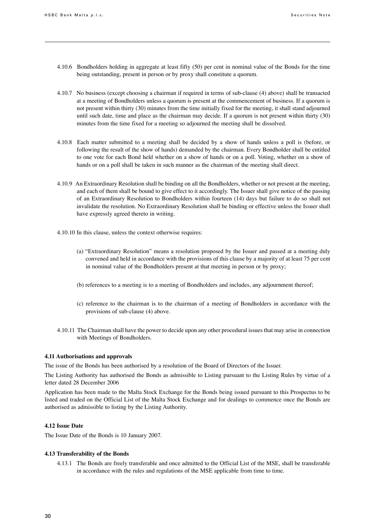- 4.10.6 Bondholders holding in aggregate at least fifty (50) per cent in nominal value of the Bonds for the time being outstanding, present in person or by proxy shall constitute a quorum.
- 4.10.7 No business (except choosing a chairman if required in terms of sub-clause (4) above) shall be transacted at a meeting of Bondholders unless a quorum is present at the commencement of business. If a quorum is not present within thirty (30) minutes from the time initially fixed for the meeting, it shall stand adjourned until such date, time and place as the chairman may decide. If a quorum is not present within thirty (30) minutes from the time fixed for a meeting so adjourned the meeting shall be dissolved.
- 4.10.8 Each matter submitted to a meeting shall be decided by a show of hands unless a poll is (before, or following the result of the show of hands) demanded by the chairman. Every Bondholder shall be entitled to one vote for each Bond held whether on a show of hands or on a poll. Voting, whether on a show of hands or on a poll shall be taken in such manner as the chairman of the meeting shall direct.
- 4.10.9 An Extraordinary Resolution shall be binding on all the Bondholders, whether or not present at the meeting, and each of them shall be bound to give effect to it accordingly. The Issuer shall give notice of the passing of an Extraordinary Resolution to Bondholders within fourteen (14) days but failure to do so shall not invalidate the resolution. No Extraordinary Resolution shall be binding or effective unless the Issuer shall have expressly agreed thereto in writing.
- 4.10.10 In this clause, unless the context otherwise requires:
	- (a) "Extraordinary Resolution" means a resolution proposed by the Issuer and passed at a meeting duly convened and held in accordance with the provisions of this clause by a majority of at least 75 per cent in nominal value of the Bondholders present at that meeting in person or by proxy;
	- (b) references to a meeting is to a meeting of Bondholders and includes, any adjournment thereof;
	- (c) reference to the chairman is to the chairman of a meeting of Bondholders in accordance with the provisions of sub-clause (4) above.
- 4.10.11 The Chairman shall have the power to decide upon any other procedural issues that may arise in connection with Meetings of Bondholders.

#### **4.11 Authorisations and approvals**

The issue of the Bonds has been authorised by a resolution of the Board of Directors of the Issuer.

The Listing Authority has authorised the Bonds as admissible to Listing pursuant to the Listing Rules by virtue of a letter dated 28 December 2006

Application has been made to the Malta Stock Exchange for the Bonds being issued pursuant to this Prospectus to be listed and traded on the Official List of the Malta Stock Exchange and for dealings to commence once the Bonds are authorised as admissible to listing by the Listing Authority.

#### **4.12 Issue Date**

The Issue Date of the Bonds is 10 January 2007.

#### **4.13 Transferability of the Bonds**

4.13.1 The Bonds are freely transferable and once admitted to the Official List of the MSE, shall be transferable in accordance with the rules and regulations of the MSE applicable from time to time.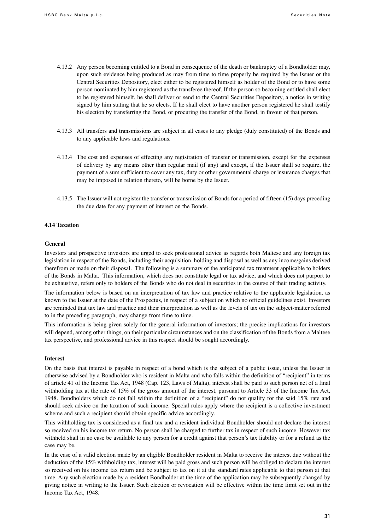- 4.13.2 Any person becoming entitled to a Bond in consequence of the death or bankruptcy of a Bondholder may, upon such evidence being produced as may from time to time properly be required by the Issuer or the Central Securities Depository, elect either to be registered himself as holder of the Bond or to have some person nominated by him registered as the transferee thereof. If the person so becoming entitled shall elect to be registered himself, he shall deliver or send to the Central Securities Depository, a notice in writing signed by him stating that he so elects. If he shall elect to have another person registered he shall testify his election by transferring the Bond, or procuring the transfer of the Bond, in favour of that person.
- 4.13.3 All transfers and transmissions are subject in all cases to any pledge (duly constituted) of the Bonds and to any applicable laws and regulations.
- 4.13.4 The cost and expenses of effecting any registration of transfer or transmission, except for the expenses of delivery by any means other than regular mail (if any) and except, if the Issuer shall so require, the payment of a sum sufficient to cover any tax, duty or other governmental charge or insurance charges that may be imposed in relation thereto, will be borne by the Issuer.
- 4.13.5 The Issuer will not register the transfer or transmission of Bonds for a period of fifteen (15) days preceding the due date for any payment of interest on the Bonds.

#### **4.14 Taxation**

#### **General**

Investors and prospective investors are urged to seek professional advice as regards both Maltese and any foreign tax legislation in respect of the Bonds, including their acquisition, holding and disposal as well as any income/gains derived therefrom or made on their disposal. The following is a summary of the anticipated tax treatment applicable to holders of the Bonds in Malta. This information, which does not constitute legal or tax advice, and which does not purport to be exhaustive, refers only to holders of the Bonds who do not deal in securities in the course of their trading activity.

The information below is based on an interpretation of tax law and practice relative to the applicable legislation, as known to the Issuer at the date of the Prospectus, in respect of a subject on which no official guidelines exist. Investors are reminded that tax law and practice and their interpretation as well as the levels of tax on the subject-matter referred to in the preceding paragraph, may change from time to time.

This information is being given solely for the general information of investors; the precise implications for investors will depend, among other things, on their particular circumstances and on the classification of the Bonds from a Maltese tax perspective, and professional advice in this respect should be sought accordingly.

#### **Interest**

On the basis that interest is payable in respect of a bond which is the subject of a public issue, unless the Issuer is otherwise advised by a Bondholder who is resident in Malta and who falls within the definition of "recipient" in terms of article 41 of the Income Tax Act, 1948 (Cap. 123, Laws of Malta), interest shall be paid to such person net of a final withholding tax at the rate of 15% of the gross amount of the interest, pursuant to Article 33 of the Income Tax Act, 1948. Bondholders which do not fall within the definition of a "recipient" do not qualify for the said 15% rate and should seek advice on the taxation of such income. Special rules apply where the recipient is a collective investment scheme and such a recipient should obtain specific advice accordingly.

This withholding tax is considered as a final tax and a resident individual Bondholder should not declare the interest so received on his income tax return. No person shall be charged to further tax in respect of such income. However tax withheld shall in no case be available to any person for a credit against that person's tax liability or for a refund as the case may be.

In the case of a valid election made by an eligible Bondholder resident in Malta to receive the interest due without the deduction of the 15% withholding tax, interest will be paid gross and such person will be obliged to declare the interest so received on his income tax return and be subject to tax on it at the standard rates applicable to that person at that time. Any such election made by a resident Bondholder at the time of the application may be subsequently changed by giving notice in writing to the Issuer. Such election or revocation will be effective within the time limit set out in the Income Tax Act, 1948.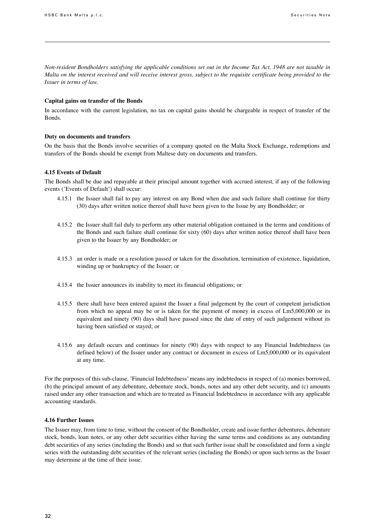Non-resident Bondholders satisfying the applicable conditions set out in the Income Tax Act, 1948 are not taxable in Malta on the interest received and will receive interest gross, subject to the requisite certificate being provided to the *Issuer in terms of law.*

#### **Capital gains on transfer of the Bonds**

In accordance with the current legislation, no tax on capital gains should be chargeable in respect of transfer of the Bonds.

#### **Duty on documents and transfers**

On the basis that the Bonds involve securities of a company quoted on the Malta Stock Exchange, redemptions and transfers of the Bonds should be exempt from Maltese duty on documents and transfers.

#### **4.15 Events of Default**

The Bonds shall be due and repayable at their principal amount together with accrued interest, if any of the following events ('Events of Default') shall occur:

- 4.15.1 the Issuer shall fail to pay any interest on any Bond when due and such failure shall continue for thirty (30) days after written notice thereof shall have been given to the Issue by any Bondholder; or
- 4.15.2 the Issuer shall fail duly to perform any other material obligation contained in the terms and conditions of the Bonds and such failure shall continue for sixty (60) days after written notice thereof shall have been given to the Issuer by any Bondholder; or
- 4.15.3 an order is made or a resolution passed or taken for the dissolution, termination of existence, liquidation, winding up or bankruptcy of the Issuer; or
- 4.15.4 the Issuer announces its inability to meet its financial obligations; or
- 4.15.5 there shall have been entered against the Issuer a final judgement by the court of competent jurisdiction from which no appeal may be or is taken for the payment of money in excess of Lm5,000,000 or its equivalent and ninety (90) days shall have passed since the date of entry of such judgement without its having been satisfied or stayed; or
- 4.15.6 any default occurs and continues for ninety (90) days with respect to any Financial Indebtedness (as defined below) of the Issuer under any contract or document in excess of Lm5,000,000 or its equivalent at any time.

For the purposes of this sub-clause, 'Financial Indebtedness'means any indebtedness in respect of (a) monies borrowed, (b) the principal amount of any debenture, debenture stock, bonds, notes and any other debt security, and (c) amounts raised under any other transaction and which are to treated as Financial Indebtedness in accordance with any applicable accounting standards.

#### **4.16 Further Issues**

The Issuer may, from time to time, without the consent of the Bondholder, create and issue further debentures, debenture stock, bonds, loan notes, or any other debt securities either having the same terms and conditions as any outstanding debt securities of any series (including the Bonds) and so that such further issue shall be consolidated and form a single series with the outstanding debt securities of the relevant series (including the Bonds) or upon such terms as the Issuer may determine at the time of their issue.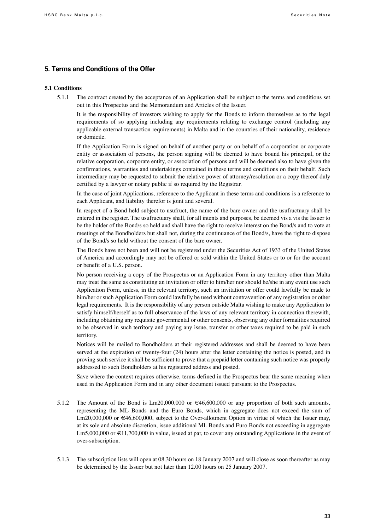## **5. Terms and Conditions of the Offer**

### **5.1 Conditions**

5.1.1 The contract created by the acceptance of an Application shall be subject to the terms and conditions set out in this Prospectus and the Memorandum and Articles of the Issuer.

It is the responsibility of investors wishing to apply for the Bonds to inform themselves as to the legal requirements of so applying including any requirements relating to exchange control (including any applicable external transaction requirements) in Malta and in the countries of their nationality, residence or domicile.

If the Application Form is signed on behalf of another party or on behalf of a corporation or corporate entity or association of persons, the person signing will be deemed to have bound his principal, or the relative corporation, corporate entity, or association of persons and will be deemed also to have given the confirmations, warranties and undertakings contained in these terms and conditions on their behalf. Such intermediary may be requested to submit the relative power of attorney/resolution or a copy thereof duly certified by a lawyer or notary public if so required by the Registrar.

In the case of joint Applications, reference to the Applicant in these terms and conditions is a reference to each Applicant, and liability therefor is joint and several.

In respect of a Bond held subject to usufruct, the name of the bare owner and the usufructuary shall be entered in the register. The usufructuary shall, for all intents and purposes, be deemed vis a vis the Issuer to be the holder of the Bond/s so held and shall have the right to receive interest on the Bond/s and to vote at meetings of the Bondholders but shall not, during the continuance of the Bond/s, have the right to dispose of the Bond/s so held without the consent of the bare owner.

The Bonds have not been and will not be registered under the Securities Act of 1933 of the United States of America and accordingly may not be offered or sold within the United States or to or for the account or benefit of a U.S. person.

No person receiving a copy of the Prospectus or an Application Form in any territory other than Malta may treat the same as constituting an invitation or offer to him/her nor should he/she in any event use such Application Form, unless, in the relevant territory, such an invitation or offer could lawfully be made to him/her or such Application Form could lawfully be used without contravention of any registration or other legal requirements. It is the responsibility of any person outside Malta wishing to make any Application to satisfy himself/herself as to full observance of the laws of any relevant territory in connection therewith, including obtaining any requisite governmental or other consents, observing any other formalities required to be observed in such territory and paying any issue, transfer or other taxes required to be paid in such territory.

Notices will be mailed to Bondholders at their registered addresses and shall be deemed to have been served at the expiration of twenty-four (24) hours after the letter containing the notice is posted, and in proving such service it shall be sufficient to prove that a prepaid letter containing such notice was properly addressed to such Bondholders at his registered address and posted.

Save where the context requires otherwise, terms defined in the Prospectus bear the same meaning when used in the Application Form and in any other document issued pursuant to the Prospectus.

- 5.1.2 The Amount of the Bond is  $Lm20,000,000$  or  $\in 46,600,000$  or any proportion of both such amounts, representing the ML Bonds and the Euro Bonds, which in aggregate does not exceed the sum of Lm20,000,000 or  $\in$ 46,600,000, subject to the Over-allotment Option in virtue of which the Issuer may, at its sole and absolute discretion, issue additional ML Bonds and Euro Bonds not exceeding in aggregate Lm5,000,000 or €11,700,000 in value, issued at par, to cover any outstanding Applications in the event of over-subscription.
- 5.1.3 The subscription lists will open at 08.30 hours on 18 January 2007 and will close as soon thereafter as may be determined by the Issuer but not later than 12.00 hours on 25 January 2007.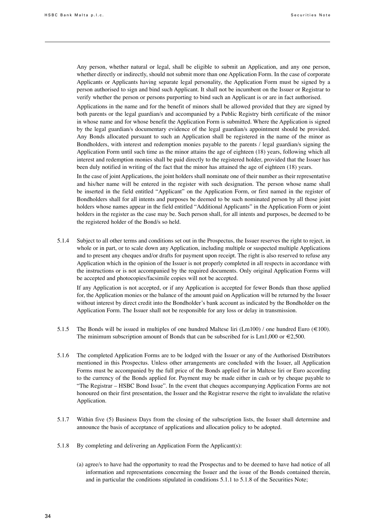Any person, whether natural or legal, shall be eligible to submit an Application, and any one person, whether directly or indirectly, should not submit more than one Application Form. In the case of corporate Applicants or Applicants having separate legal personality, the Application Form must be signed by a person authorised to sign and bind such Applicant. It shall not be incumbent on the Issuer or Registrar to verify whether the person or persons purporting to bind such an Applicant is or are in fact authorised.

Applications in the name and for the benefit of minors shall be allowed provided that they are signed by both parents or the legal guardian/s and accompanied by a Public Registry birth certificate of the minor in whose name and for whose benefit the Application Form is submitted. Where the Application is signed by the legal guardian/s documentary evidence of the legal guardian/s appointment should be provided. Any Bonds allocated pursuant to such an Application shall be registered in the name of the minor as Bondholders, with interest and redemption monies payable to the parents / legal guardian/s signing the Application Form until such time as the minor attains the age of eighteen (18) years, following which all interest and redemption monies shall be paid directly to the registered holder, provided that the Issuer has been duly notified in writing of the fact that the minor has attained the age of eighteen (18) years.

In the case of joint Applications, the joint holders shall nominate one of their number as their representative and his/her name will be entered in the register with such designation. The person whose name shall be inserted in the field entitled "Applicant" on the Application Form, or first named in the register of Bondholders shall for all intents and purposes be deemed to be such nominated person by all those joint holders whose names appear in the field entitled "Additional Applicants" in the Application Form or joint holders in the register as the case may be. Such person shall, for all intents and purposes, be deemed to be the registered holder of the Bond/s so held.

5.1.4 Subject to all other terms and conditions set out in the Prospectus, the Issuer reserves the right to reject, in whole or in part, or to scale down any Application, including multiple or suspected multiple Applications and to present any cheques and/or drafts for payment upon receipt. The right is also reserved to refuse any Application which in the opinion of the Issuer is not properly completed in all respects in accordance with the instructions or is not accompanied by the required documents. Only original Application Forms will be accepted and photocopies/facsimile copies will not be accepted.

If any Application is not accepted, or if any Application is accepted for fewer Bonds than those applied for, the Application monies or the balance of the amount paid on Application will be returned by the Issuer without interest by direct credit into the Bondholder's bank account as indicated by the Bondholder on the Application Form. The Issuer shall not be responsible for any loss or delay in transmission.

- 5.1.5 The Bonds will be issued in multiples of one hundred Maltese liri (Lm100) / one hundred Euro ( $\in$ 100). The minimum subscription amount of Bonds that can be subscribed for is  $Lm1,000$  or  $\epsilon$ 2,500.
- 5.1.6 The completed Application Forms are to be lodged with the Issuer or any of the Authorised Distributors mentioned in this Prospectus. Unless other arrangements are concluded with the Issuer, all Application Forms must be accompanied by the full price of the Bonds applied for in Maltese liri or Euro according to the currency of the Bonds applied for. Payment may be made either in cash or by cheque payable to "The Registrar – HSBC Bond Issue". In the event that cheques accompanying Application Forms are not honoured on their first presentation, the Issuer and the Registrar reserve the right to invalidate the relative Application.
- 5.1.7 Within five (5) Business Days from the closing of the subscription lists, the Issuer shall determine and announce the basis of acceptance of applications and allocation policy to be adopted.
- 5.1.8 By completing and delivering an Application Form the Applicant(s):
	- (a) agree/s to have had the opportunity to read the Prospectus and to be deemed to have had notice of all information and representations concerning the Issuer and the issue of the Bonds contained therein, and in particular the conditions stipulated in conditions 5.1.1 to 5.1.8 of the Securities Note;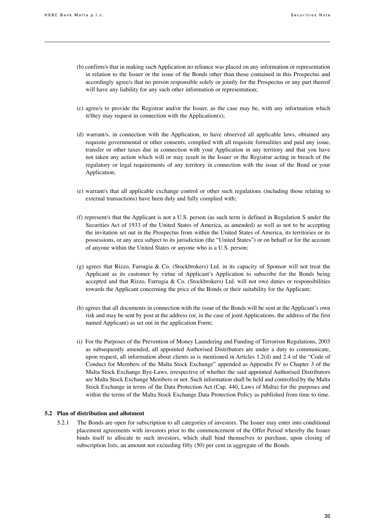- (b) confirm/s that in making such Application no reliance was placed on any information or representation in relation to the Issuer or the issue of the Bonds other than those contained in this Prospectus and accordingly agree/s that no person responsible solely or jointly for the Prospectus or any part thereof will have any liability for any such other information or representation;
- (c) agree/s to provide the Registrar and/or the Issuer, as the case may be, with any information which it/they may request in connection with the Application(s);
- (d) warrant/s, in connection with the Application, to have observed all applicable laws, obtained any requisite governmental or other consents, complied with all requisite formalities and paid any issue, transfer or other taxes due in connection with your Application in any territory and that you have not taken any action which will or may result in the Issuer or the Registrar acting in breach of the regulatory or legal requirements of any territory in connection with the issue of the Bond or your Application;
- (e) warrant/s that all applicable exchange control or other such regulations (including those relating to external transactions) have been duly and fully complied with;
- (f) represent/s that the Applicant is not a U.S. person (as such term is defined in Regulation S under the Securities Act of 1933 of the United States of America, as amended) as well as not to be accepting the invitation set out in the Prospectus from within the United States of America, its territories or its possessions, or any area subject to its jurisdiction (the "United States") or on behalf or for the account of anyone within the United States or anyone who is a U.S. person;
- (g) agrees that Rizzo, Farrugia & Co. (Stockbrokers) Ltd. in its capacity of Sponsor will not treat the Applicant as its customer by virtue of Applicant's Application to subscribe for the Bonds being accepted and that Rizzo, Farrugia & Co. (Stockbrokers) Ltd. will not owe duties or responsibilities towards the Applicant concerning the price of the Bonds or their suitability for the Applicant;
- (h) agrees that all documents in connection with the issue of the Bonds will be sent at the Applicant's own risk and may be sent by post at the address (or, in the case of joint Applications, the address of the first named Applicant) as set out in the application Form;
- (i) For the Purposes of the Prevention of Money Laundering and Funding of Terrorism Regulations, 2003 as subsequently amended, all appointed Authorised Distributors are under a duty to communicate, upon request, all information about clients as is mentioned in Articles 1.2(d) and 2.4 of the "Code of Conduct for Members of the Malta Stock Exchange" appended as Appendix IV to Chapter 3 of the Malta Stock Exchange Bye-Laws, irrespective of whether the said appointed Authorised Distributors are Malta Stock Exchange Members or not. Such information shall be held and controlled by the Malta Stock Exchange in terms of the Data Protection Act (Cap. 440, Laws of Malta) for the purposes and within the terms of the Malta Stock Exchange Data Protection Policy as published from time to time.

#### **5.2 Plan of distribution and allotment**

5.2.1 The Bonds are open for subscription to all categories of investors. The Issuer may enter into conditional placement agreements with investors prior to the commencement of the Offer Period whereby the Issuer binds itself to allocate to such investors, which shall bind themselves to purchase, upon closing of subscription lists, an amount not exceeding fifty (50) per cent in aggregate of the Bonds.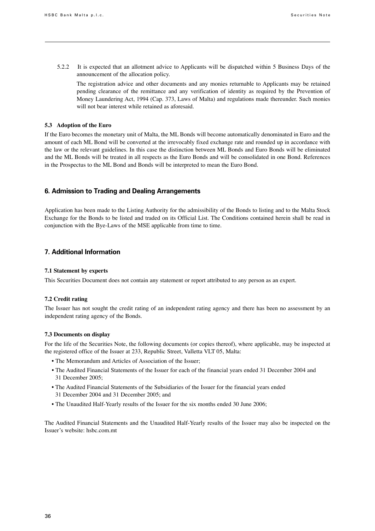5.2.2 It is expected that an allotment advice to Applicants will be dispatched within 5 Business Days of the announcement of the allocation policy.

The registration advice and other documents and any monies returnable to Applicants may be retained pending clearance of the remittance and any verification of identity as required by the Prevention of Money Laundering Act, 1994 (Cap. 373, Laws of Malta) and regulations made thereunder. Such monies will not bear interest while retained as aforesaid.

#### **5.3 Adoption of the Euro**

If the Euro becomes the monetary unit of Malta, the ML Bonds will become automatically denominated in Euro and the amount of each ML Bond will be converted at the irrevocably fixed exchange rate and rounded up in accordance with the law or the relevant guidelines. In this case the distinction between ML Bonds and Euro Bonds will be eliminated and the ML Bonds will be treated in all respects as the Euro Bonds and will be consolidated in one Bond. References in the Prospectus to the ML Bond and Bonds will be interpreted to mean the Euro Bond.

## **6. Admission to Trading and Dealing Arrangements**

Application has been made to the Listing Authority for the admissibility of the Bonds to listing and to the Malta Stock Exchange for the Bonds to be listed and traded on its Official List. The Conditions contained herein shall be read in conjunction with the Bye-Laws of the MSE applicable from time to time.

## **7. Additional Information**

#### **7.1 Statement by experts**

This Securities Document does not contain any statement or report attributed to any person as an expert.

#### **7.2 Credit rating**

The Issuer has not sought the credit rating of an independent rating agency and there has been no assessment by an independent rating agency of the Bonds.

#### **7.3 Documents on display**

For the life of the Securities Note, the following documents (or copies thereof), where applicable, may be inspected at the registered office of the Issuer at 233, Republic Street, Valletta VLT 05, Malta:

- The Memorandum and Articles of Association of the Issuer;
- The Audited Financial Statements of the Issuer for each of the financial years ended 31 December 2004 and 31 December 2005;
- The Audited Financial Statements of the Subsidiaries of the Issuer for the financial years ended 31 December 2004 and 31 December 2005; and
- The Unaudited Half-Yearly results of the Issuer for the six months ended 30 June 2006;

The Audited Financial Statements and the Unaudited Half-Yearly results of the Issuer may also be inspected on the Issuer's website: hsbc.com.mt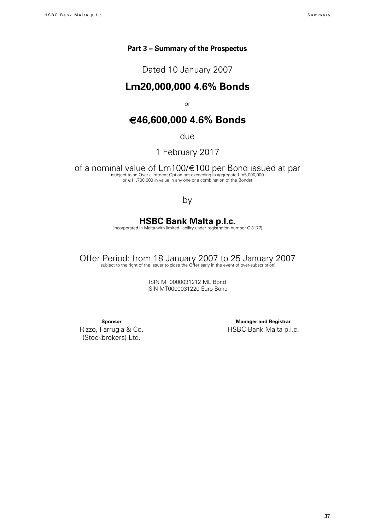## **Part 3 – Summary of the Prospectus**

Dated 10 January 2007

## **Lm20,000,000 4.6% Bonds**

or

## €**46,600,000 4.6% Bonds**

due

1 February 2017

of a nominal value of Lm100/€100 per Bond issued at par bord issued at part of the subject to an Over-allotment Option not exceeding in aggregate Lm5,000,000 or €11,700,000 in value in any one or a combination of the Bonds)

## by

## **HSBC Bank Malta p.l.c.**

(incorporated in Malta with limited liability under registration number C 3177)

Offer Period: from 18 January 2007 to 25 January 2007 (subject to the right of the Issuer to close the Offer early in the event of over-subscription)

ISIN MT0000031212 ML Bond ISIN MT0000031220 Euro Bond

**Sponsor**

Rizzo, Farrugia & Co. (Stockbrokers) Ltd.

**Manager and Registrar** HSBC Bank Malta p.l.c.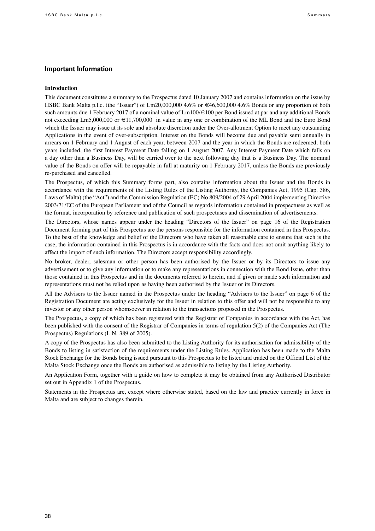#### **Important Information**

#### **Introduction**

This document constitutes a summary to the Prospectus dated 10 January 2007 and contains information on the issue by HSBC Bank Malta p.l.c. (the "Issuer") of Lm20,000,000 4.6% or €46,600,000 4.6% Bonds or any proportion of both such amounts due 1 February 2017 of a nominal value of Lm100/€100 per Bond issued at par and any additional Bonds not exceeding Lm5,000,000 or €11,700,000 in value in any one or combination of the ML Bond and the Euro Bond which the Issuer may issue at its sole and absolute discretion under the Over-allotment Option to meet any outstanding Applications in the event of over-subscription. Interest on the Bonds will become due and payable semi annually in arrears on 1 February and 1 August of each year, between 2007 and the year in which the Bonds are redeemed, both years included, the first Interest Payment Date falling on 1 August 2007. Any Interest Payment Date which falls on a day other than a Business Day, will be carried over to the next following day that is a Business Day. The nominal value of the Bonds on offer will be repayable in full at maturity on 1 February 2017, unless the Bonds are previously re-purchased and cancelled.

The Prospectus, of which this Summary forms part, also contains information about the Issuer and the Bonds in accordance with the requirements of the Listing Rules of the Listing Authority, the Companies Act, 1995 (Cap. 386, Laws of Malta) (the "Act") and the Commission Regulation (EC) No 809/2004 of 29 April 2004 implementing Directive 2003/71/EC of the European Parliament and of the Council as regards information contained in prospectuses as well as the format, incorporation by reference and publication of such prospectuses and dissemination of advertisements.

The Directors, whose names appear under the heading "Directors of the Issuer" on page 16 of the Registration Document forming part of this Prospectus are the persons responsible for the information contained in this Prospectus. To the best of the knowledge and belief of the Directors who have taken all reasonable care to ensure that such is the case, the information contained in this Prospectus is in accordance with the facts and does not omit anything likely to affect the import of such information. The Directors accept responsibility accordingly.

No broker, dealer, salesman or other person has been authorised by the Issuer or by its Directors to issue any advertisement or to give any information or to make any representations in connection with the Bond Issue, other than those contained in this Prospectus and in the documents referred to herein, and if given or made such information and representations must not be relied upon as having been authorised by the Issuer or its Directors.

All the Advisers to the Issuer named in the Prospectus under the heading "Advisers to the Issuer" on page 6 of the Registration Document are acting exclusively for the Issuer in relation to this offer and will not be responsible to any investor or any other person whomsoever in relation to the transactions proposed in the Prospectus.

The Prospectus, a copy of which has been registered with the Registrar of Companies in accordance with the Act, has been published with the consent of the Registrar of Companies in terms of regulation 5(2) of the Companies Act (The Prospectus) Regulations (L.N. 389 of 2005).

A copy of the Prospectus has also been submitted to the Listing Authority for its authorisation for admissibility of the Bonds to listing in satisfaction of the requirements under the Listing Rules. Application has been made to the Malta Stock Exchange for the Bonds being issued pursuant to this Prospectus to be listed and traded on the Official List of the Malta Stock Exchange once the Bonds are authorised as admissible to listing by the Listing Authority.

An Application Form, together with a guide on how to complete it may be obtained from any Authorised Distributor set out in Appendix 1 of the Prospectus.

Statements in the Prospectus are, except where otherwise stated, based on the law and practice currently in force in Malta and are subject to changes therein.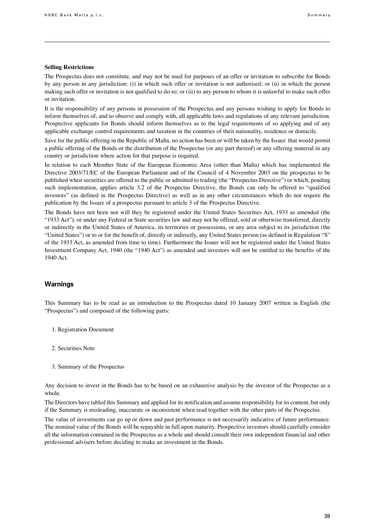#### **Selling Restrictions**

The Prospectus does not constitute, and may not be used for purposes of an offer or invitation to subscribe for Bonds by any person in any jurisdiction: (i) in which such offer or invitation is not authorised; or (ii) in which the person making such offer or invitation is not qualified to do so; or (iii) to any person to whom it is unlawful to make such offer or invitation.

It is the responsibility of any persons in possession of the Prospectus and any persons wishing to apply for Bonds to inform themselves of, and to observe and comply with, all applicable laws and regulations of any relevant jurisdiction. Prospective applicants for Bonds should inform themselves as to the legal requirements of so applying and of any applicable exchange control requirements and taxation in the countries of their nationality, residence or domicile.

Save for the public offering in the Republic of Malta, no action has been or will be taken by the Issuer that would permit a public offering of the Bonds or the distribution of the Prospectus (or any part thereof) or any offering material in any country or jurisdiction where action for that purpose is required.

In relation to each Member State of the European Economic Area (other than Malta) which has implemented the Directive 2003/71/EC of the European Parliament and of the Council of 4 November 2003 on the prospectus to be published when securities are offered to the public or admitted to trading (the "Prospectus Directive") or which, pending such implementation, applies article 3.2 of the Prospectus Directive, the Bonds can only be offered to "qualified investors" (as defined in the Prospectus Directive) as well as in any other circumstances which do not require the publication by the Issuer of a prospectus pursuant to article 3 of the Prospectus Directive.

The Bonds have not been nor will they be registered under the United States Securities Act, 1933 as amended (the "1933 Act"), or under any Federal or State securities law and may not be offered, sold or otherwise transferred, directly or indirectly in the United States of America, its territories or possessions, or any area subject to its jurisdiction (the "United States") or to or for the benefit of, directly or indirectly, any United States person (as defined in Regulation "S" of the 1933 Act, as amended from time to time). Furthermore the Issuer will not be registered under the United States Investment Company Act, 1940 (the "1940 Act") as amended and investors will not be entitled to the benefits of the 1940 Act.

#### **Warnings**

This Summary has to be read as an introduction to the Prospectus dated 10 January 2007 written in English (the "Prospectus") and composed of the following parts:

- 1. Registration Document
- 2. Securities Note
- 3. Summary of the Prospectus

Any decision to invest in the Bonds has to be based on an exhaustive analysis by the investor of the Prospectus as a whole.

The Directors have tabled this Summary and applied for its notification and assume responsibility for its content, but only if the Summary is misleading, inaccurate or inconsistent when read together with the other parts of the Prospectus.

The value of investments can go up or down and past performance is not necessarily indicative of future performance. The nominal value of the Bonds will be repayable in full upon maturity. Prospective investors should carefully consider all the information contained in the Prospectus as a whole and should consult their own independent financial and other professional advisers before deciding to make an investment in the Bonds.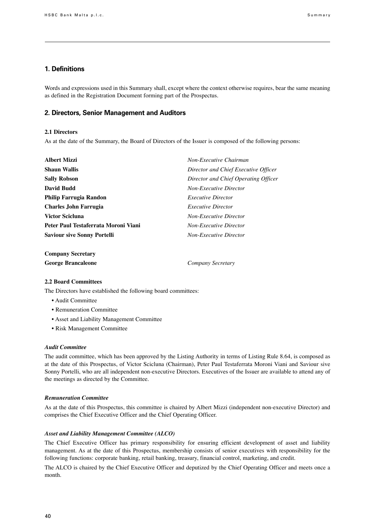## **1. Definitions**

Words and expressions used in this Summary shall, except where the context otherwise requires, bear the same meaning as defined in the Registration Document forming part of the Prospectus.

#### **2. Directors, Senior Management and Auditors**

#### **2.1 Directors**

As at the date of the Summary, the Board of Directors of the Issuer is composed of the following persons:

| <b>Albert Mizzi</b>                  | Non-Executive Chairman               |  |
|--------------------------------------|--------------------------------------|--|
| <b>Shaun Wallis</b>                  | Director and Chief Executive Officer |  |
| <b>Sally Robson</b>                  | Director and Chief Operating Officer |  |
| David Budd                           | <b>Non-Executive Director</b>        |  |
| Philip Farrugia Randon               | <i>Executive Director</i>            |  |
| Charles John Farrugia                | <i>Executive Director</i>            |  |
| <b>Victor Scicluna</b>               | <b>Non-Executive Director</b>        |  |
| Peter Paul Testaferrata Moroni Viani | <b>Non-Executive Director</b>        |  |
| <b>Saviour sive Sonny Portelli</b>   | <b>Non-Executive Director</b>        |  |
| <b>Company Secretary</b>             |                                      |  |

**George Brancaleone** *Company Secretary*

#### **2.2 Board Committees**

The Directors have established the following board committees:

- Audit Committee
- Remuneration Committee
- Asset and Liability Management Committee
- Risk Management Committee

#### *Audit Committee*

The audit committee, which has been approved by the Listing Authority in terms of Listing Rule 8.64, is composed as at the date of this Prospectus, of Victor Scicluna (Chairman), Peter Paul Testaferrata Moroni Viani and Saviour sive Sonny Portelli, who are all independent non-executive Directors. Executives of the Issuer are available to attend any of the meetings as directed by the Committee.

#### *Remuneration Committee*

As at the date of this Prospectus, this committee is chaired by Albert Mizzi (independent non-executive Director) and comprises the Chief Executive Officer and the Chief Operating Officer.

#### *Asset and Liability Management Committee (ALCO)*

The Chief Executive Officer has primary responsibility for ensuring efficient development of asset and liability management. As at the date of this Prospectus, membership consists of senior executives with responsibility for the following functions: corporate banking, retail banking, treasury, financial control, marketing, and credit.

The ALCO is chaired by the Chief Executive Officer and deputized by the Chief Operating Officer and meets once a month.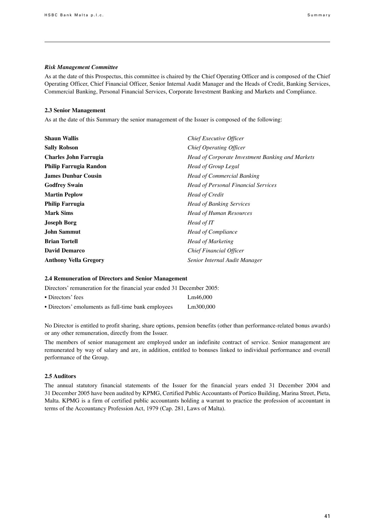#### *Risk Management Committee*

As at the date of this Prospectus, this committee is chaired by the Chief Operating Officer and is composed of the Chief Operating Officer, Chief Financial Officer, Senior Internal Audit Manager and the Heads of Credit, Banking Services, Commercial Banking, Personal Financial Services, Corporate Investment Banking and Markets and Compliance.

#### **2.3 Senior Management**

As at the date of this Summary the senior management of the Issuer is composed of the following:

| <b>Shaun Wallis</b>          | Chief Executive Officer                          |
|------------------------------|--------------------------------------------------|
| <b>Sally Robson</b>          | Chief Operating Officer                          |
| <b>Charles John Farrugia</b> | Head of Corporate Investment Banking and Markets |
| Philip Farrugia Randon       | <b>Head of Group Legal</b>                       |
| <b>James Dunbar Cousin</b>   | <b>Head of Commercial Banking</b>                |
| <b>Godfrey Swain</b>         | <b>Head of Personal Financial Services</b>       |
| <b>Martin Peplow</b>         | Head of Credit                                   |
| <b>Philip Farrugia</b>       | <b>Head of Banking Services</b>                  |
| <b>Mark Sims</b>             | <b>Head of Human Resources</b>                   |
| <b>Joseph Borg</b>           | Head of IT                                       |
| John Sammut                  | <b>Head of Compliance</b>                        |
| <b>Brian Tortell</b>         | <b>Head of Marketing</b>                         |
| <b>David Demarco</b>         | Chief Financial Officer                          |
| <b>Anthony Vella Gregory</b> | Senior Internal Audit Manager                    |

#### **2.4 Remuneration of Directors and Senior Management**

Directors' remuneration for the financial year ended 31 December 2005:

| • Directors' fees                                   | Lm46,000  |
|-----------------------------------------------------|-----------|
| • Directors' emoluments as full-time bank employees | Lm300,000 |

No Director is entitled to profit sharing, share options, pension benefits (other than performance-related bonus awards) or any other remuneration, directly from the Issuer.

The members of senior management are employed under an indefinite contract of service. Senior management are remunerated by way of salary and are, in addition, entitled to bonuses linked to individual performance and overall performance of the Group.

#### **2.5 Auditors**

The annual statutory financial statements of the Issuer for the financial years ended 31 December 2004 and 31 December 2005 have been audited by KPMG, Certified Public Accountants of Portico Building, Marina Street, Pieta, Malta. KPMG is a firm of certified public accountants holding a warrant to practice the profession of accountant in terms of the Accountancy Profession Act, 1979 (Cap. 281, Laws of Malta).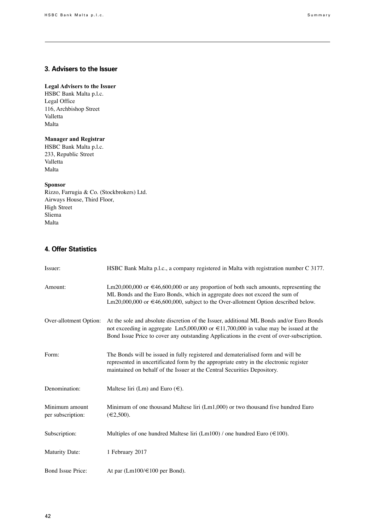## **3. Advisers to the Issuer**

#### **Legal Advisers to the Issuer**

HSBC Bank Malta p.l.c. Legal Office 116, Archbishop Street Valletta Malta 

## **Manager and Registrar**

HSBC Bank Malta p.l.c. 233, Republic Street Valletta Malta 

## **Sponsor**

Rizzo, Farrugia & Co. (Stockbrokers) Ltd. Airways House, Third Floor, High Street Sliema Malta

## **4. Offer Statistics**

| Issuer:                             | HSBC Bank Malta p.l.c., a company registered in Malta with registration number C 3177.                                                                                                                                                                                            |
|-------------------------------------|-----------------------------------------------------------------------------------------------------------------------------------------------------------------------------------------------------------------------------------------------------------------------------------|
| Amount:                             | Lm20,000,000 or $\in$ 46,600,000 or any proportion of both such amounts, representing the<br>ML Bonds and the Euro Bonds, which in aggregate does not exceed the sum of<br>Lm20,000,000 or $\in$ 46,600,000, subject to the Over-allotment Option described below.                |
| Over-allotment Option:              | At the sole and absolute discretion of the Issuer, additional ML Bonds and/or Euro Bonds<br>not exceeding in aggregate Lm5,000,000 or $\in$ 11,700,000 in value may be issued at the<br>Bond Issue Price to cover any outstanding Applications in the event of over-subscription. |
| Form:                               | The Bonds will be issued in fully registered and dematerialised form and will be<br>represented in uncertificated form by the appropriate entry in the electronic register<br>maintained on behalf of the Issuer at the Central Securities Depository.                            |
| Denomination:                       | Maltese liri (Lm) and Euro $(\epsilon)$ .                                                                                                                                                                                                                                         |
| Minimum amount<br>per subscription: | Minimum of one thousand Maltese liri (Lm1,000) or two thousand five hundred Euro<br>$(\epsilon 2,500)$ .                                                                                                                                                                          |
| Subscription:                       | Multiples of one hundred Maltese liri (Lm100) / one hundred Euro ( $\in$ 100).                                                                                                                                                                                                    |
| <b>Maturity Date:</b>               | 1 February 2017                                                                                                                                                                                                                                                                   |
| Bond Issue Price:                   | At par (Lm100/ $\in$ 100 per Bond).                                                                                                                                                                                                                                               |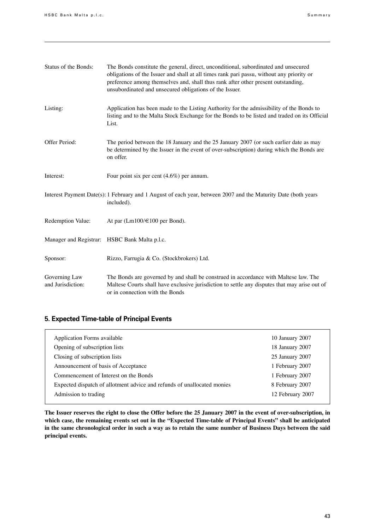| Status of the Bonds:               | The Bonds constitute the general, direct, unconditional, subordinated and unsecured<br>obligations of the Issuer and shall at all times rank pari passu, without any priority or<br>preference among themselves and, shall thus rank after other present outstanding,<br>unsubordinated and unsecured obligations of the Issuer. |
|------------------------------------|----------------------------------------------------------------------------------------------------------------------------------------------------------------------------------------------------------------------------------------------------------------------------------------------------------------------------------|
| Listing:                           | Application has been made to the Listing Authority for the admissibility of the Bonds to<br>listing and to the Malta Stock Exchange for the Bonds to be listed and traded on its Official<br>List.                                                                                                                               |
| Offer Period:                      | The period between the 18 January and the 25 January 2007 (or such earlier date as may<br>be determined by the Issuer in the event of over-subscription) during which the Bonds are<br>on offer.                                                                                                                                 |
| Interest:                          | Four point six per cent $(4.6\%)$ per annum.                                                                                                                                                                                                                                                                                     |
|                                    | Interest Payment Date(s): 1 February and 1 August of each year, between 2007 and the Maturity Date (both years<br>included).                                                                                                                                                                                                     |
| Redemption Value:                  | At par $(Lm100/\text{\textsterling}100$ per Bond).                                                                                                                                                                                                                                                                               |
|                                    | Manager and Registrar: HSBC Bank Malta p.l.c.                                                                                                                                                                                                                                                                                    |
| Sponsor:                           | Rizzo, Farrugia & Co. (Stockbrokers) Ltd.                                                                                                                                                                                                                                                                                        |
| Governing Law<br>and Jurisdiction: | The Bonds are governed by and shall be construed in accordance with Maltese law. The<br>Maltese Courts shall have exclusive jurisdiction to settle any disputes that may arise out of<br>or in connection with the Bonds                                                                                                         |

## **5. Expected Time-table of Principal Events**

| Application Forms available                                             | 10 January 2007  |
|-------------------------------------------------------------------------|------------------|
| Opening of subscription lists                                           | 18 January 2007  |
| Closing of subscription lists                                           | 25 January 2007  |
| Announcement of basis of Acceptance                                     | 1 February 2007  |
| Commencement of Interest on the Bonds                                   | 1 February 2007  |
| Expected dispatch of allotment advice and refunds of unallocated monies | 8 February 2007  |
| Admission to trading                                                    | 12 February 2007 |
|                                                                         |                  |

**The Issuer reserves the right to close the Offer before the 25 January 2007 in the event of over-subscription, in which case, the remaining events set out in the "Expected Time-table of Principal Events" shall be anticipated in the same chronological order in such a way as to retain the same number of Business Days between the said principal events.**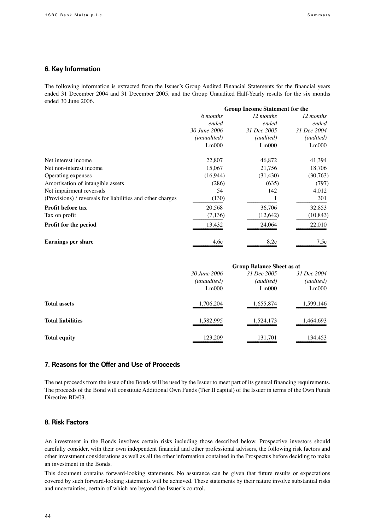### **6. Key Information**

The following information is extracted from the Issuer's Group Audited Financial Statements for the financial years ended 31 December 2004 and 31 December 2005, and the Group Unaudited Half-Yearly results for the six months ended 30 June 2006.

|                                                            | <b>Group Income Statement for the</b> |             |             |
|------------------------------------------------------------|---------------------------------------|-------------|-------------|
|                                                            | 6 months                              | 12 months   | 12 months   |
|                                                            | ended                                 | ended       | ended       |
|                                                            | 30 June 2006                          | 31 Dec 2005 | 31 Dec 2004 |
|                                                            | (unaudited)                           | (audited)   | (audited)   |
|                                                            | Lm000                                 | Lm000       | Lm000       |
| Net interest income                                        | 22,807                                | 46,872      | 41,394      |
| Net non-interest income                                    | 15,067                                | 21,756      | 18,706      |
| Operating expenses                                         | (16, 944)                             | (31, 430)   | (30, 763)   |
| Amortisation of intangible assets                          | (286)                                 | (635)       | (797)       |
| Net impairment reversals                                   | 54                                    | 142         | 4,012       |
| (Provisions) / reversals for liabilities and other charges | (130)                                 |             | 301         |
| <b>Profit before tax</b>                                   | 20,568                                | 36,706      | 32,853      |
| Tax on profit                                              | (7, 136)                              | (12, 642)   | (10, 843)   |
| Profit for the period                                      | 13,432                                | 24,064      | 22,010      |
| <b>Earnings per share</b>                                  | 4.6c                                  | 8.2c        | 7.5c        |

|                          |              | <b>Group Balance Sheet as at</b> |             |  |
|--------------------------|--------------|----------------------------------|-------------|--|
|                          | 30 June 2006 | 31 Dec 2005                      | 31 Dec 2004 |  |
|                          | (unaudited)  | (audited)                        | (audited)   |  |
|                          | Lm000        | Lm000                            | Lm000       |  |
| <b>Total assets</b>      | 1,706,204    | 1,655,874                        | 1,599,146   |  |
| <b>Total liabilities</b> | 1,582,995    | 1,524,173                        | 1,464,693   |  |
| <b>Total equity</b>      | 123,209      | 131,701                          | 134,453     |  |

## **7. Reasons for the Offer and Use of Proceeds**

The net proceeds from the issue of the Bonds will be used by the Issuer to meet part of its general financing requirements. The proceeds of the Bond will constitute Additional Own Funds (Tier II capital) of the Issuer in terms of the Own Funds Directive BD/03.

## **8. Risk Factors**

An investment in the Bonds involves certain risks including those described below. Prospective investors should carefully consider, with their own independent financial and other professional advisers, the following risk factors and other investment considerations as well as all the other information contained in the Prospectus before deciding to make an investment in the Bonds.

This document contains forward-looking statements. No assurance can be given that future results or expectations covered by such forward-looking statements will be achieved. These statements by their nature involve substantial risks and uncertainties, certain of which are beyond the Issuer's control.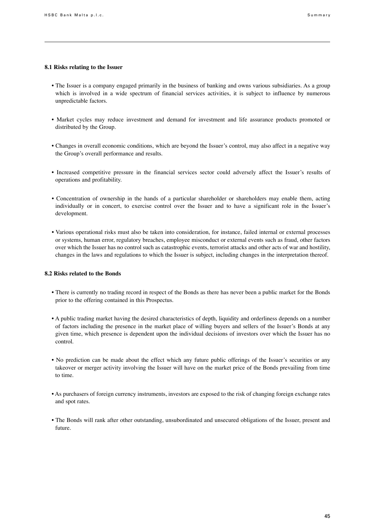#### **8.1 Risks relating to the Issuer**

- The Issuer is a company engaged primarily in the business of banking and owns various subsidiaries. As a group which is involved in a wide spectrum of financial services activities, it is subject to influence by numerous unpredictable factors.
- Market cycles may reduce investment and demand for investment and life assurance products promoted or distributed by the Group.
- Changes in overall economic conditions, which are beyond the Issuer's control, may also affect in a negative way the Group's overall performance and results.
- Increased competitive pressure in the financial services sector could adversely affect the Issuer's results of operations and profitability.
- Concentration of ownership in the hands of a particular shareholder or shareholders may enable them, acting individually or in concert, to exercise control over the Issuer and to have a significant role in the Issuer's development.
- Various operational risks must also be taken into consideration, for instance, failed internal or external processes or systems, human error, regulatory breaches, employee misconduct or external events such as fraud, other factors over which the Issuer has no control such as catastrophic events, terrorist attacks and other acts of war and hostility, changes in the laws and regulations to which the Issuer is subject, including changes in the interpretation thereof.

#### **8.2 Risks related to the Bonds**

- There is currently no trading record in respect of the Bonds as there has never been a public market for the Bonds prior to the offering contained in this Prospectus.
- A public trading market having the desired characteristics of depth, liquidity and orderliness depends on a number of factors including the presence in the market place of willing buyers and sellers of the Issuer's Bonds at any given time, which presence is dependent upon the individual decisions of investors over which the Issuer has no control.
- No prediction can be made about the effect which any future public offerings of the Issuer's securities or any takeover or merger activity involving the Issuer will have on the market price of the Bonds prevailing from time to time.
- As purchasers of foreign currency instruments, investors are exposed to the risk of changing foreign exchange rates and spot rates.
- The Bonds will rank after other outstanding, unsubordinated and unsecured obligations of the Issuer, present and future.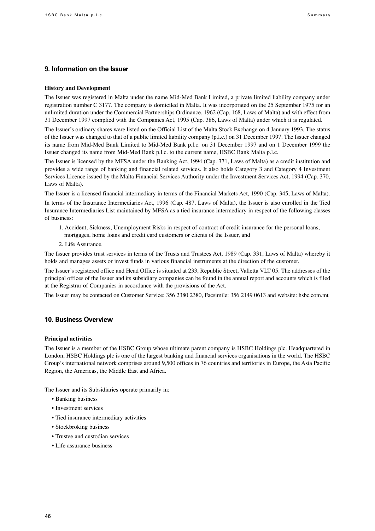#### **9. Information on the Issuer**

#### **History and Development**

The Issuer was registered in Malta under the name Mid-Med Bank Limited, a private limited liability company under registration number C 3177. The company is domiciled in Malta. It was incorporated on the 25 September 1975 for an unlimited duration under the Commercial Partnerships Ordinance, 1962 (Cap. 168, Laws of Malta) and with effect from 31 December 1997 complied with the Companies Act, 1995 (Cap. 386, Laws of Malta) under which it is regulated.

The Issuer's ordinary shares were listed on the Official List of the Malta Stock Exchange on 4 January 1993. The status of the Issuer was changed to that of a public limited liability company (p.l.c.) on 31 December 1997. The Issuer changed its name from Mid-Med Bank Limited to Mid-Med Bank p.l.c. on 31 December 1997 and on 1 December 1999 the Issuer changed its name from Mid-Med Bank p.l.c. to the current name, HSBC Bank Malta p.l.c.

The Issuer is licensed by the MFSA under the Banking Act, 1994 (Cap. 371, Laws of Malta) as a credit institution and provides a wide range of banking and financial related services. It also holds Category 3 and Category 4 Investment Services Licence issued by the Malta Financial Services Authority under the Investment Services Act, 1994 (Cap. 370, Laws of Malta).

The Issuer is a licensed financial intermediary in terms of the Financial Markets Act, 1990 (Cap. 345, Laws of Malta). In terms of the Insurance Intermediaries Act, 1996 (Cap. 487, Laws of Malta), the Issuer is also enrolled in the Tied Insurance Intermediaries List maintained by MFSA as a tied insurance intermediary in respect of the following classes of business:

- 1. Accident, Sickness, Unemployment Risks in respect of contract of credit insurance for the personal loans, mortgages, home loans and credit card customers or clients of the Issuer, and
- 2. Life Assurance.

The Issuer provides trust services in terms of the Trusts and Trustees Act, 1989 (Cap. 331, Laws of Malta) whereby it holds and manages assets or invest funds in various financial instruments at the direction of the customer.

The Issuer's registered office and Head Office is situated at 233, Republic Street, Valletta VLT 05. The addresses of the principal offices of the Issuer and its subsidiary companies can be found in the annual report and accounts which is filed at the Registrar of Companies in accordance with the provisions of the Act.

The Issuer may be contacted on Customer Service: 356 2380 2380, Facsimile: 356 2149 0613 and website: hsbc.com.mt

#### **10. Business Overview**

#### **Principal activities**

The Issuer is a member of the HSBC Group whose ultimate parent company is HSBC Holdings plc. Headquartered in London, HSBC Holdings plc is one of the largest banking and financial services organisations in the world. The HSBC Group's international network comprises around 9,500 offices in 76 countries and territories in Europe, the Asia Pacific Region, the Americas, the Middle East and Africa.

The Issuer and its Subsidiaries operate primarily in:

- Banking business
- Investment services
- Tied insurance intermediary activities
- Stockbroking business
- Trustee and custodian services
- Life assurance business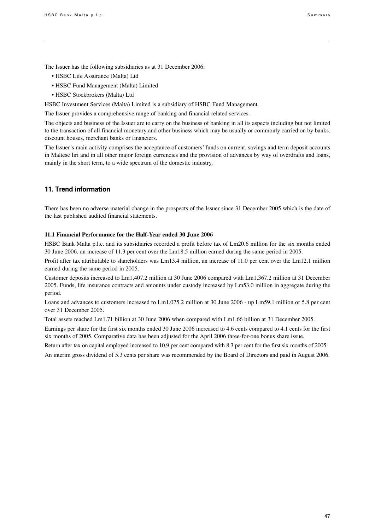The Issuer has the following subsidiaries as at 31 December 2006:

- HSBC Life Assurance (Malta) Ltd
- HSBC Fund Management (Malta) Limited
- HSBC Stockbrokers (Malta) Ltd

HSBC Investment Services (Malta) Limited is a subsidiary of HSBC Fund Management.

The Issuer provides a comprehensive range of banking and financial related services.

The objects and business of the Issuer are to carry on the business of banking in all its aspects including but not limited to the transaction of all financial monetary and other business which may be usually or commonly carried on by banks, discount houses, merchant banks or financiers.

The Issuer's main activity comprises the acceptance of customers' funds on current, savings and term deposit accounts in Maltese liri and in all other major foreign currencies and the provision of advances by way of overdrafts and loans, mainly in the short term, to a wide spectrum of the domestic industry.

## **11. Trend information**

There has been no adverse material change in the prospects of the Issuer since 31 December 2005 which is the date of the last published audited financial statements.

#### **11.1 Financial Performance for the Half-Year ended 30 June 2006**

HSBC Bank Malta p.l.c. and its subsidiaries recorded a profit before tax of Lm20.6 million for the six months ended 30 June 2006, an increase of 11.3 per cent over the Lm18.5 million earned during the same period in 2005.

Profit after tax attributable to shareholders was Lm13.4 million, an increase of 11.0 per cent over the Lm12.1 million earned during the same period in 2005.

Customer deposits increased to Lm1,407.2 million at 30 June 2006 compared with Lm1,367.2 million at 31 December 2005. Funds, life insurance contracts and amounts under custody increased by Lm53.0 million in aggregate during the period.

Loans and advances to customers increased to Lm1,075.2 million at 30 June 2006 - up Lm59.1 million or 5.8 per cent over 31 December 2005.

Total assets reached Lm1.71 billion at 30 June 2006 when compared with Lm1.66 billion at 31 December 2005.

Earnings per share for the first six months ended 30 June 2006 increased to 4.6 cents compared to 4.1 cents for the first six months of 2005. Comparative data has been adjusted for the April 2006 three-for-one bonus share issue.

Return after tax on capital employed increased to 10.9 per cent compared with 8.3 per cent for the first six months of 2005.

An interim gross dividend of 5.3 cents per share was recommended by the Board of Directors and paid in August 2006.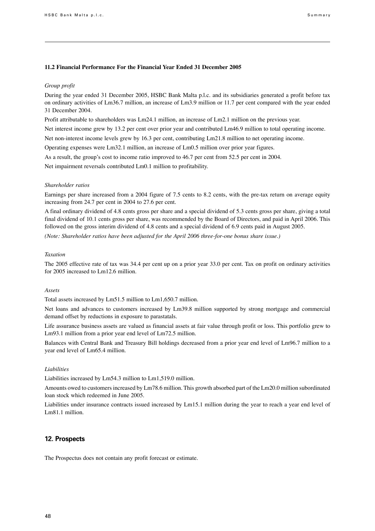#### **11.2 Financial Performance For the Financial Year Ended 31 December 2005**

#### *Group profit*

During the year ended 31 December 2005, HSBC Bank Malta p.l.c. and its subsidiaries generated a profit before tax on ordinary activities of Lm36.7 million, an increase of Lm3.9 million or 11.7 per cent compared with the year ended 31 December 2004.

Profit attributable to shareholders was Lm24.1 million, an increase of Lm2.1 million on the previous year.

Net interest income grew by 13.2 per cent over prior year and contributed Lm46.9 million to total operating income.

Net non-interest income levels grew by 16.3 per cent, contributing Lm21.8 million to net operating income.

Operating expenses were Lm32.1 million, an increase of Lm0.5 million over prior year figures.

As a result, the group's cost to income ratio improved to 46.7 per cent from 52.5 per cent in 2004.

Net impairment reversals contributed Lm0.1 million to profitability.

#### *Shareholder ratios*

Earnings per share increased from a 2004 figure of 7.5 cents to 8.2 cents, with the pre-tax return on average equity increasing from 24.7 per cent in 2004 to 27.6 per cent.

A final ordinary dividend of 4.8 cents gross per share and a special dividend of 5.3 cents gross per share, giving a total final dividend of 10.1 cents gross per share, was recommended by the Board of Directors, and paid in April 2006. This followed on the gross interim dividend of 4.8 cents and a special dividend of 6.9 cents paid in August 2005.

*(Note: Shareholder ratios have been adjusted for the April 2006 three-for-one bonus share issue.)*

#### *Taxation*

The 2005 effective rate of tax was 34.4 per cent up on a prior year 33.0 per cent. Tax on profit on ordinary activities for 2005 increased to Lm12.6 million.

#### *Assets*

Total assets increased by Lm51.5 million to Lm1,650.7 million.

Net loans and advances to customers increased by Lm39.8 million supported by strong mortgage and commercial demand offset by reductions in exposure to parastatals.

Life assurance business assets are valued as financial assets at fair value through profit or loss. This portfolio grew to Lm93.1 million from a prior year end level of Lm72.5 million.

Balances with Central Bank and Treasury Bill holdings decreased from a prior year end level of Lm96.7 million to a year end level of Lm65.4 million.

#### *Liabilities*

Liabilities increased by Lm54.3 million to Lm1,519.0 million.

Amounts owed to customersincreased by Lm78.6 million. This growth absorbed part of the Lm20.0 million subordinated loan stock which redeemed in June 2005.

Liabilities under insurance contracts issued increased by Lm15.1 million during the year to reach a year end level of Lm81.1 million.

### **12. Prospects**

The Prospectus does not contain any profit forecast or estimate.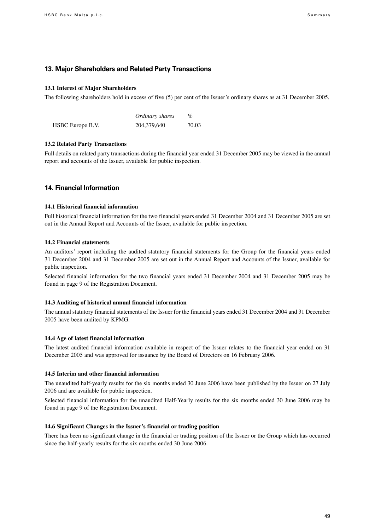#### **13. Major Shareholders and Related Party Transactions**

#### **13.1 Interest of Major Shareholders**

The following shareholders hold in excess of five (5) per cent of the Issuer's ordinary shares as at 31 December 2005.

|                  | Ordinary shares | $\%$  |
|------------------|-----------------|-------|
| HSBC Europe B.V. | 204,379,640     | 70.03 |

#### **13.2 Related Party Transactions**

Full details on related party transactions during the financial year ended 31 December 2005 may be viewed in the annual report and accounts of the Issuer, available for public inspection.

## **14. Financial Information**

#### **14.1 Historical financial information**

Full historical financial information for the two financial years ended 31 December 2004 and 31 December 2005 are set out in the Annual Report and Accounts of the Issuer, available for public inspection.

#### **14.2 Financial statements**

An auditors' report including the audited statutory financial statements for the Group for the financial years ended 31 December 2004 and 31 December 2005 are set out in the Annual Report and Accounts of the Issuer, available for public inspection.

Selected financial information for the two financial years ended 31 December 2004 and 31 December 2005 may be found in page 9 of the Registration Document.

#### **14.3 Auditing of historical annual financial information**

The annual statutory financial statements of the Issuer for the financial years ended 31 December 2004 and 31 December 2005 have been audited by KPMG.

#### **14.4 Age of latest financial information**

The latest audited financial information available in respect of the Issuer relates to the financial year ended on 31 December 2005 and was approved for issuance by the Board of Directors on 16 February 2006.

#### **14.5 Interim and other financial information**

The unaudited half-yearly results for the six months ended 30 June 2006 have been published by the Issuer on 27 July 2006 and are available for public inspection.

Selected financial information for the unaudited Half-Yearly results for the six months ended 30 June 2006 may be found in page 9 of the Registration Document.

#### **14.6 Significant Changes in the Issuer's financial or trading position**

There has been no significant change in the financial or trading position of the Issuer or the Group which has occurred since the half-yearly results for the six months ended 30 June 2006.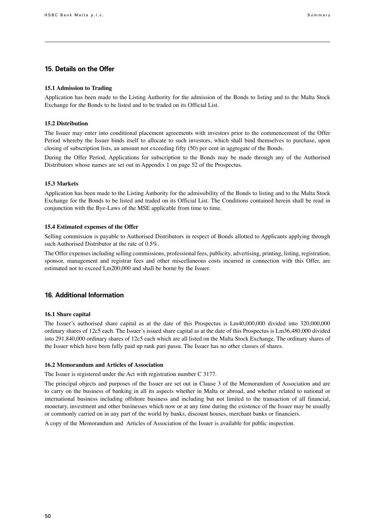## **15. Details on the Offer**

#### **15.1 Admission to Trading**

Application has been made to the Listing Authority for the admission of the Bonds to listing and to the Malta Stock Exchange for the Bonds to be listed and to be traded on its Official List.

#### **15.2 Distribution**

The Issuer may enter into conditional placement agreements with investors prior to the commencement of the Offer Period whereby the Issuer binds itself to allocate to such investors, which shall bind themselves to purchase, upon closing of subscription lists, an amount not exceeding fifty (50) per cent in aggregate of the Bonds.

During the Offer Period, Applications for subscription to the Bonds may be made through any of the Authorised Distributors whose names are set out in Appendix 1 on page 52 of the Prospectus.

#### **15.3 Markets**

Application has been made to the Listing Authority for the admissibility of the Bonds to listing and to the Malta Stock Exchange for the Bonds to be listed and traded on its Official List. The Conditions contained herein shall be read in conjunction with the Bye-Laws of the MSE applicable from time to time.

#### **15.4 Estimated expenses of the Offer**

Selling commission is payable to Authorised Distributors in respect of Bonds allotted to Applicants applying through such Authorised Distributor at the rate of 0.5%.

The Offer expenses including selling commissions, professional fees, publicity, advertising, printing, listing, registration, sponsor, management and registrar fees and other miscellaneous costs incurred in connection with this Offer, are estimated not to exceed Lm200,000 and shall be borne by the Issuer.

## **16. Additional Information**

#### **16.1 Share capital**

The Issuer's authorised share capital as at the date of this Prospectus is Lm40,000,000 divided into 320,000,000 ordinary shares of 12c5 each. The Issuer's issued share capital as at the date of this Prospectus is Lm36,480,000 divided into 291,840,000 ordinary shares of 12c5 each which are all listed on the Malta Stock Exchange. The ordinary shares of the Issuer which have been fully paid up rank pari passu. The Issuer has no other classes of shares.

#### **16.2 Memorandum and Articles of Association**

The Issuer is registered under the Act with registration number C 3177.

The principal objects and purposes of the Issuer are set out in Clause 3 of the Memorandum of Association and are to carry on the business of banking in all its aspects whether in Malta or abroad, and whether related to national or international business including offshore business and including but not limited to the transaction of all financial, monetary, investment and other businesses which now or at any time during the existence of the Issuer may be usually or commonly carried on in any part of the world by banks, discount houses, merchant banks or financiers.

A copy of the Memorandum and Articles of Association of the Issuer is available for public inspection.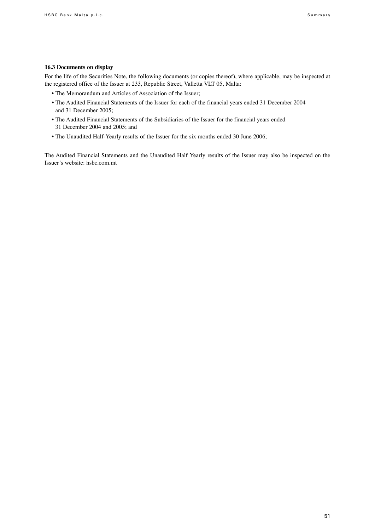### **16.3 Documents on display**

For the life of the Securities Note, the following documents (or copies thereof), where applicable, may be inspected at the registered office of the Issuer at 233, Republic Street, Valletta VLT 05, Malta:

- The Memorandum and Articles of Association of the Issuer;
- The Audited Financial Statements of the Issuer for each of the financial years ended 31 December 2004 and 31 December 2005;
- The Audited Financial Statements of the Subsidiaries of the Issuer for the financial years ended 31 December 2004 and 2005; and
- The Unaudited Half-Yearly results of the Issuer for the six months ended 30 June 2006;

The Audited Financial Statements and the Unaudited Half Yearly results of the Issuer may also be inspected on the Issuer's website: hsbc.com.mt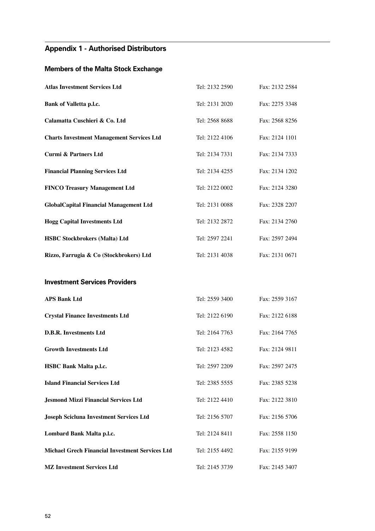## **Appendix 1 - Authorised Distributors**

## **Members of the Malta Stock Exchange**

| <b>Atlas Investment Services Ltd</b>                   | Tel: 2132 2590 | Fax: 2132 2584 |
|--------------------------------------------------------|----------------|----------------|
| <b>Bank of Valletta p.l.c.</b>                         | Tel: 2131 2020 | Fax: 2275 3348 |
| Calamatta Cuschieri & Co. Ltd                          | Tel: 2568 8688 | Fax: 2568 8256 |
| <b>Charts Investment Management Services Ltd</b>       | Tel: 2122 4106 | Fax: 2124 1101 |
| <b>Curmi &amp; Partners Ltd</b>                        | Tel: 2134 7331 | Fax: 2134 7333 |
| <b>Financial Planning Services Ltd</b>                 | Tel: 2134 4255 | Fax: 2134 1202 |
| <b>FINCO Treasury Management Ltd</b>                   | Tel: 2122 0002 | Fax: 2124 3280 |
| <b>GlobalCapital Financial Management Ltd</b>          | Tel: 2131 0088 | Fax: 2328 2207 |
| <b>Hogg Capital Investments Ltd</b>                    | Tel: 2132 2872 | Fax: 2134 2760 |
| <b>HSBC Stockbrokers (Malta) Ltd</b>                   | Tel: 2597 2241 | Fax: 2597 2494 |
| Rizzo, Farrugia & Co (Stockbrokers) Ltd                | Tel: 2131 4038 | Fax: 2131 0671 |
| <b>Investment Services Providers</b>                   |                |                |
| <b>APS Bank Ltd</b>                                    | Tel: 2559 3400 | Fax: 2559 3167 |
| <b>Crystal Finance Investments Ltd</b>                 | Tel: 2122 6190 | Fax: 2122 6188 |
| <b>D.B.R. Investments Ltd</b>                          | Tel: 2164 7763 | Fax: 2164 7765 |
| <b>Growth Investments Ltd</b>                          | Tel: 2123 4582 | Fax: 2124 9811 |
| <b>HSBC Bank Malta p.l.c.</b>                          | Tel: 2597 2209 | Fax: 2597 2475 |
| <b>Island Financial Services Ltd</b>                   | Tel: 2385 5555 | Fax: 2385 5238 |
| <b>Jesmond Mizzi Financial Services Ltd</b>            | Tel: 2122 4410 | Fax: 2122 3810 |
| <b>Joseph Scicluna Investment Services Ltd</b>         | Tel: 2156 5707 | Fax: 2156 5706 |
| Lombard Bank Malta p.l.c.                              | Tel: 2124 8411 | Fax: 2558 1150 |
| <b>Michael Grech Financial Investment Services Ltd</b> | Tel: 2155 4492 | Fax: 2155 9199 |
| <b>MZ Investment Services Ltd</b>                      | Tel: 2145 3739 | Fax: 2145 3407 |